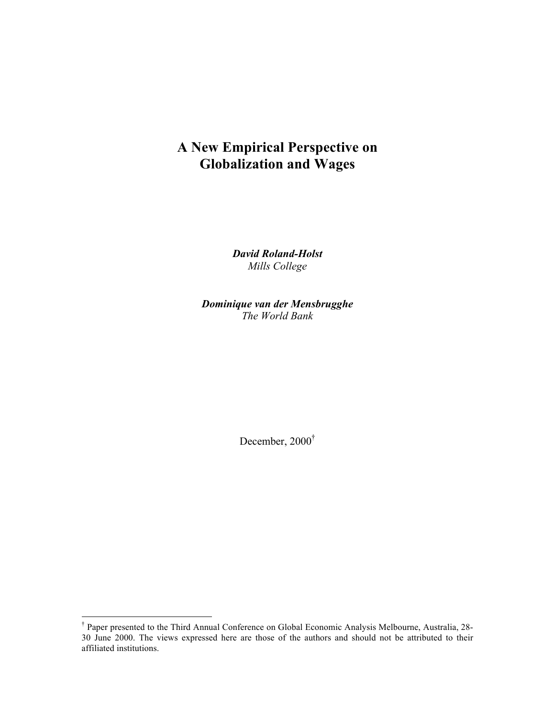## **A New Empirical Perspective on Globalization and Wages**

*David Roland-Holst Mills College*

*Dominique van der Mensbrugghe The World Bank*

December, 2000†

 <sup>†</sup> Paper presented to the Third Annual Conference on Global Economic Analysis Melbourne, Australia, 28- 30 June 2000. The views expressed here are those of the authors and should not be attributed to their affiliated institutions.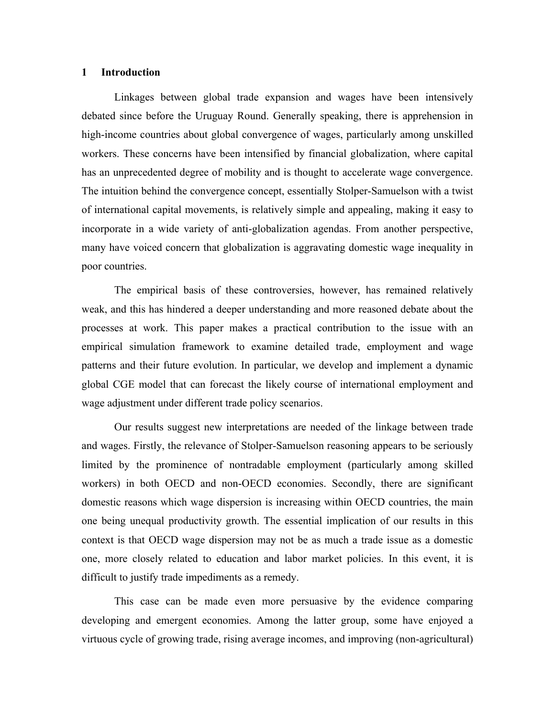## **1 Introduction**

Linkages between global trade expansion and wages have been intensively debated since before the Uruguay Round. Generally speaking, there is apprehension in high-income countries about global convergence of wages, particularly among unskilled workers. These concerns have been intensified by financial globalization, where capital has an unprecedented degree of mobility and is thought to accelerate wage convergence. The intuition behind the convergence concept, essentially Stolper-Samuelson with a twist of international capital movements, is relatively simple and appealing, making it easy to incorporate in a wide variety of anti-globalization agendas. From another perspective, many have voiced concern that globalization is aggravating domestic wage inequality in poor countries.

The empirical basis of these controversies, however, has remained relatively weak, and this has hindered a deeper understanding and more reasoned debate about the processes at work. This paper makes a practical contribution to the issue with an empirical simulation framework to examine detailed trade, employment and wage patterns and their future evolution. In particular, we develop and implement a dynamic global CGE model that can forecast the likely course of international employment and wage adjustment under different trade policy scenarios.

Our results suggest new interpretations are needed of the linkage between trade and wages. Firstly, the relevance of Stolper-Samuelson reasoning appears to be seriously limited by the prominence of nontradable employment (particularly among skilled workers) in both OECD and non-OECD economies. Secondly, there are significant domestic reasons which wage dispersion is increasing within OECD countries, the main one being unequal productivity growth. The essential implication of our results in this context is that OECD wage dispersion may not be as much a trade issue as a domestic one, more closely related to education and labor market policies. In this event, it is difficult to justify trade impediments as a remedy.

This case can be made even more persuasive by the evidence comparing developing and emergent economies. Among the latter group, some have enjoyed a virtuous cycle of growing trade, rising average incomes, and improving (non-agricultural)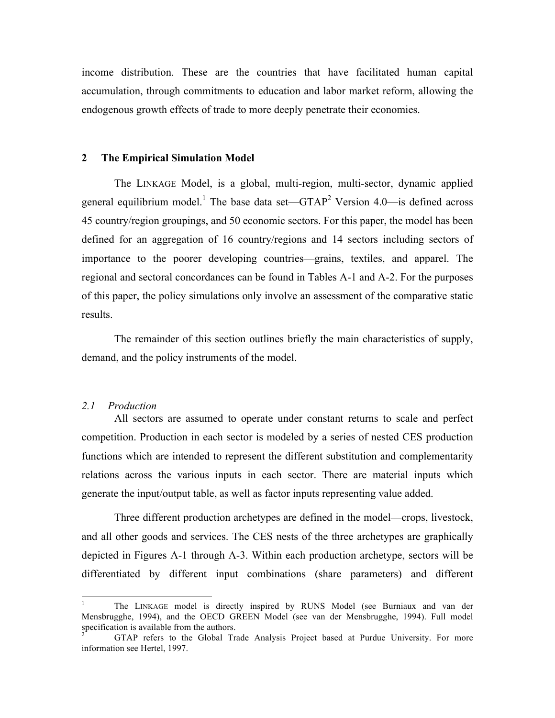income distribution. These are the countries that have facilitated human capital accumulation, through commitments to education and labor market reform, allowing the endogenous growth effects of trade to more deeply penetrate their economies.

#### **2 The Empirical Simulation Model**

The LINKAGE Model, is a global, multi-region, multi-sector, dynamic applied general equilibrium model.<sup>1</sup> The base data set—GTAP<sup>2</sup> Version 4.0—is defined across 45 country/region groupings, and 50 economic sectors. For this paper, the model has been defined for an aggregation of 16 country/regions and 14 sectors including sectors of importance to the poorer developing countries—grains, textiles, and apparel. The regional and sectoral concordances can be found in Tables A-1 and A-2. For the purposes of this paper, the policy simulations only involve an assessment of the comparative static results.

The remainder of this section outlines briefly the main characteristics of supply, demand, and the policy instruments of the model.

#### *2.1 Production*

All sectors are assumed to operate under constant returns to scale and perfect competition. Production in each sector is modeled by a series of nested CES production functions which are intended to represent the different substitution and complementarity relations across the various inputs in each sector. There are material inputs which generate the input/output table, as well as factor inputs representing value added.

Three different production archetypes are defined in the model—crops, livestock, and all other goods and services. The CES nests of the three archetypes are graphically depicted in Figures A-1 through A-3. Within each production archetype, sectors will be differentiated by different input combinations (share parameters) and different

 <sup>1</sup> The LINKAGE model is directly inspired by RUNS Model (see Burniaux and van der Mensbrugghe, 1994), and the OECD GREEN Model (see van der Mensbrugghe, 1994). Full model specification is available from the authors.

<sup>2</sup> GTAP refers to the Global Trade Analysis Project based at Purdue University. For more information see Hertel, 1997.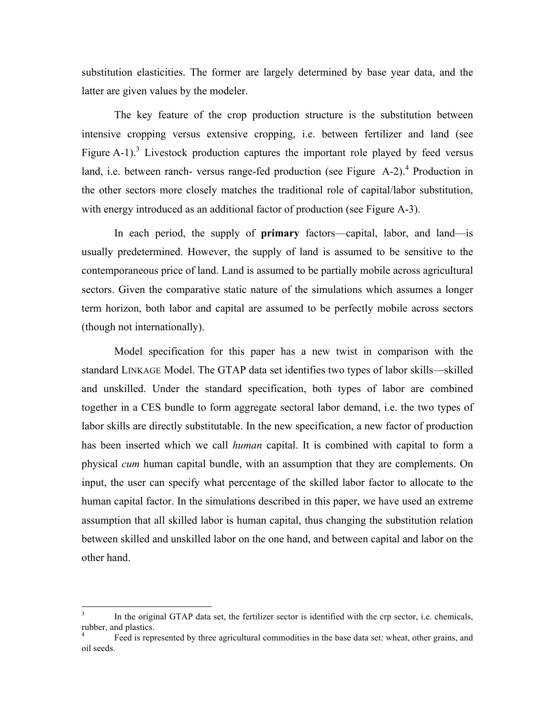substitution elasticities. The former are largely determined by base year data, and the latter are given values by the modeler.

The key feature of the crop production structure is the substitution between intensive cropping versus extensive cropping, i.e. between fertilizer and land (see Figure A-1).<sup>3</sup> Livestock production captures the important role played by feed versus land, i.e. between ranch- versus range-fed production (see Figure  $A-2$ ).<sup>4</sup> Production in the other sectors more closely matches the traditional role of capital/labor substitution, with energy introduced as an additional factor of production (see Figure A-3).

In each period, the supply of **primary** factors—capital, labor, and land—is usually predetermined. However, the supply of land is assumed to be sensitive to the contemporaneous price of land. Land is assumed to be partially mobile across agricultural sectors. Given the comparative static nature of the simulations which assumes a longer term horizon, both labor and capital are assumed to be perfectly mobile across sectors (though not internationally).

Model specification for this paper has a new twist in comparison with the standard LINKAGE Model. The GTAP data set identifies two types of labor skills—skilled and unskilled. Under the standard specification, both types of labor are combined together in a CES bundle to form aggregate sectoral labor demand, i.e. the two types of labor skills are directly substitutable. In the new specification, a new factor of production has been inserted which we call *human* capital. It is combined with capital to form a physical *cum* human capital bundle, with an assumption that they are complements. On input, the user can specify what percentage of the skilled labor factor to allocate to the human capital factor. In the simulations described in this paper, we have used an extreme assumption that all skilled labor is human capital, thus changing the substitution relation between skilled and unskilled labor on the one hand, and between capital and labor on the other hand.

In the original GTAP data set, the fertilizer sector is identified with the crp sector, i.e. chemicals, rubber, and plastics.

Feed is represented by three agricultural commodities in the base data set: wheat, other grains, and oil seeds.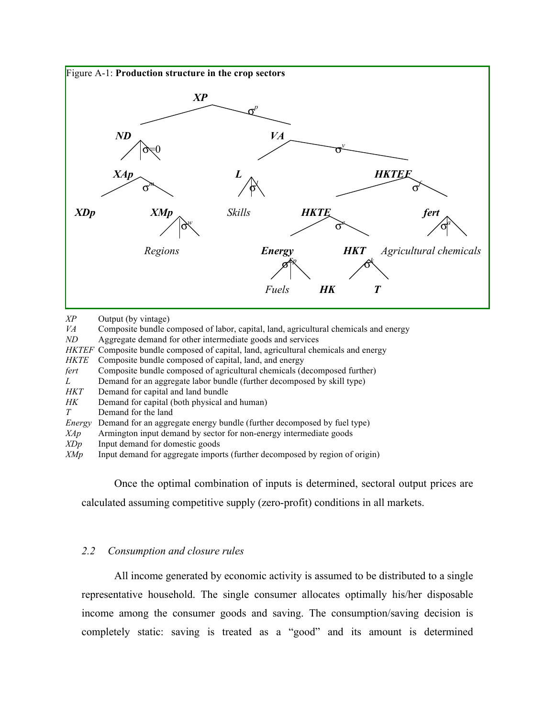

*XP* Output (by vintage)

*VA* Composite bundle composed of labor, capital, land, agricultural chemicals and energy *ND* Aggregate demand for other intermediate goods and services

Aggregate demand for other intermediate goods and services

*HKTEF* Composite bundle composed of capital, land, agricultural chemicals and energy

- *HKTE* Composite bundle composed of capital, land, and energy
- *fert* Composite bundle composed of agricultural chemicals (decomposed further)

*L* Demand for an aggregate labor bundle (further decomposed by skill type)

- *HKT* Demand for capital and land bundle
- *HK* Demand for capital (both physical and human)
- *T* Demand for the land

### *Energy* Demand for an aggregate energy bundle (further decomposed by fuel type)

*XAp* Armington input demand by sector for non-energy intermediate goods

- *XDp* Input demand for domestic goods
- *XMp* Input demand for aggregate imports (further decomposed by region of origin)

Once the optimal combination of inputs is determined, sectoral output prices are calculated assuming competitive supply (zero-profit) conditions in all markets.

## *2.2 Consumption and closure rules*

All income generated by economic activity is assumed to be distributed to a single representative household. The single consumer allocates optimally his/her disposable income among the consumer goods and saving. The consumption/saving decision is completely static: saving is treated as a "good" and its amount is determined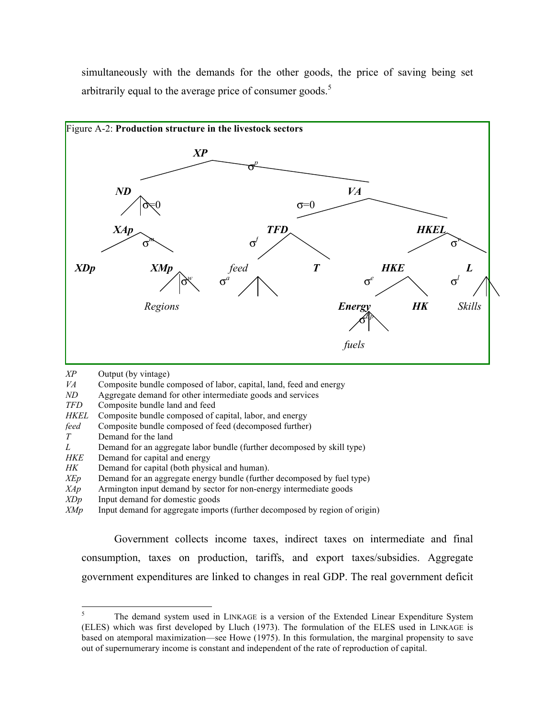simultaneously with the demands for the other goods, the price of saving being set arbitrarily equal to the average price of consumer goods.<sup>5</sup>



- *XP* Output (by vintage)
- *VA* Composite bundle composed of labor, capital, land, feed and energy
- *ND* Aggregate demand for other intermediate goods and services
- *TFD* Composite bundle land and feed
- *HKEL* Composite bundle composed of capital, labor, and energy
- *feed* Composite bundle composed of feed (decomposed further)
- *T* Demand for the land
- *L* Demand for an aggregate labor bundle (further decomposed by skill type)
- *HKE* Demand for capital and energy
- *HK* Demand for capital (both physical and human).
- *XEp* Demand for an aggregate energy bundle (further decomposed by fuel type)
- *XAp* Armington input demand by sector for non-energy intermediate goods
- *XDp* Input demand for domestic goods
- *XMp* Input demand for aggregate imports (further decomposed by region of origin)

Government collects income taxes, indirect taxes on intermediate and final consumption, taxes on production, tariffs, and export taxes/subsidies. Aggregate government expenditures are linked to changes in real GDP. The real government deficit

<sup>&</sup>lt;sup>5</sup> The demand system used in LINKAGE is a version of the Extended Linear Expenditure System (ELES) which was first developed by Lluch (1973). The formulation of the ELES used in LINKAGE is based on atemporal maximization—see Howe (1975). In this formulation, the marginal propensity to save out of supernumerary income is constant and independent of the rate of reproduction of capital.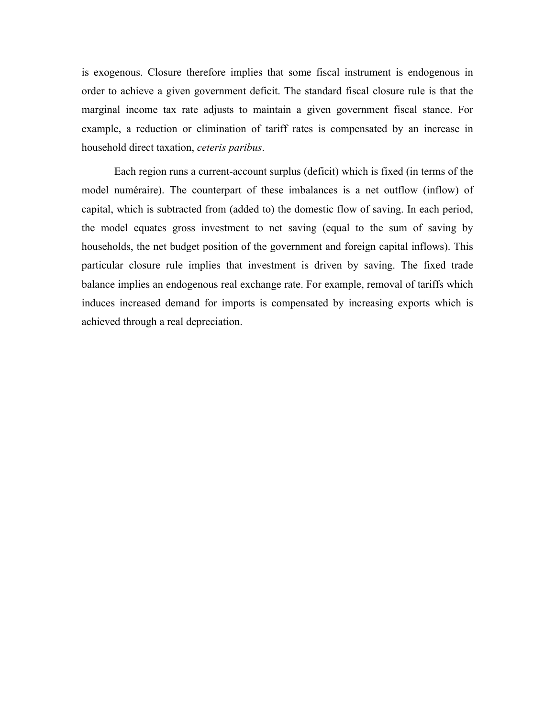is exogenous. Closure therefore implies that some fiscal instrument is endogenous in order to achieve a given government deficit. The standard fiscal closure rule is that the marginal income tax rate adjusts to maintain a given government fiscal stance. For example, a reduction or elimination of tariff rates is compensated by an increase in household direct taxation, *ceteris paribus*.

Each region runs a current-account surplus (deficit) which is fixed (in terms of the model numéraire). The counterpart of these imbalances is a net outflow (inflow) of capital, which is subtracted from (added to) the domestic flow of saving. In each period, the model equates gross investment to net saving (equal to the sum of saving by households, the net budget position of the government and foreign capital inflows). This particular closure rule implies that investment is driven by saving. The fixed trade balance implies an endogenous real exchange rate. For example, removal of tariffs which induces increased demand for imports is compensated by increasing exports which is achieved through a real depreciation.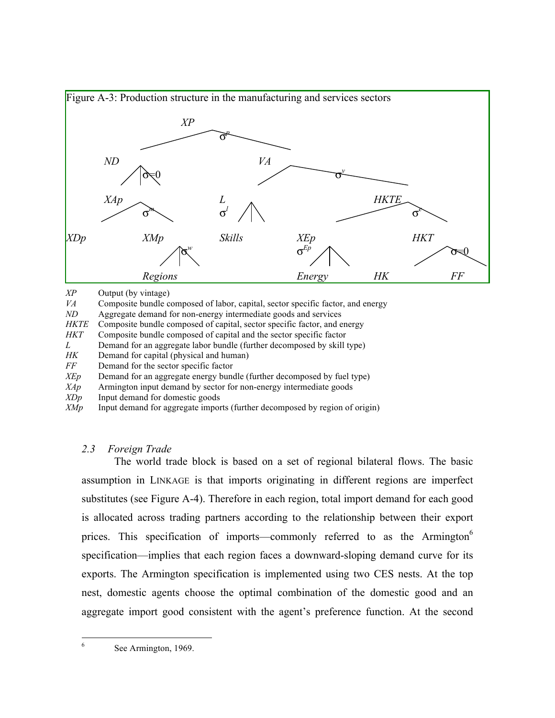

*XP* Output (by vintage)

*VA* Composite bundle composed of labor, capital, sector specific factor, and energy

*ND* Aggregate demand for non-energy intermediate goods and services

*HKTE* Composite bundle composed of capital, sector specific factor, and energy

*HKT* Composite bundle composed of capital and the sector specific factor

*L* Demand for an aggregate labor bundle (further decomposed by skill type)

*HK* Demand for capital (physical and human)

*FF* Demand for the sector specific factor

*XEp* Demand for an aggregate energy bundle (further decomposed by fuel type)

*XAp* Armington input demand by sector for non-energy intermediate goods

*XDp* Input demand for domestic goods

*XMp* Input demand for aggregate imports (further decomposed by region of origin)

## *2.3 Foreign Trade*

The world trade block is based on a set of regional bilateral flows. The basic assumption in LINKAGE is that imports originating in different regions are imperfect substitutes (see Figure A-4). Therefore in each region, total import demand for each good is allocated across trading partners according to the relationship between their export prices. This specification of imports—commonly referred to as the Armington<sup>6</sup> specification—implies that each region faces a downward-sloping demand curve for its exports. The Armington specification is implemented using two CES nests. At the top nest, domestic agents choose the optimal combination of the domestic good and an aggregate import good consistent with the agent's preference function. At the second

6 See Armington, 1969.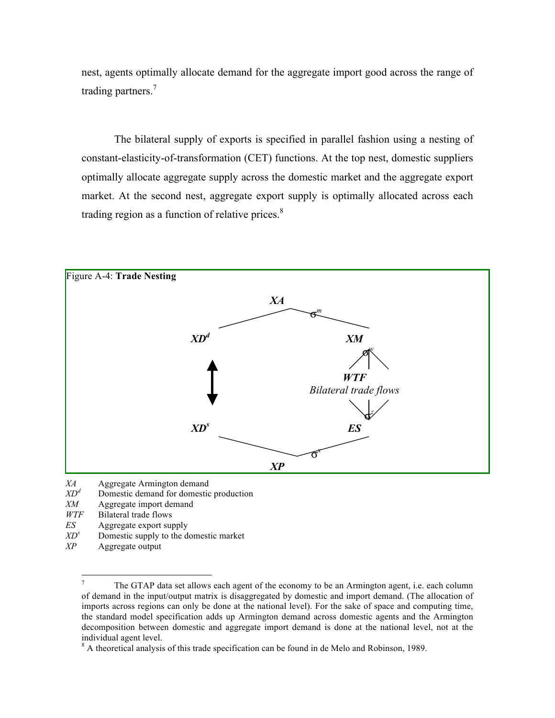nest, agents optimally allocate demand for the aggregate import good across the range of trading partners.<sup>7</sup>

The bilateral supply of exports is specified in parallel fashion using a nesting of constant-elasticity-of-transformation (CET) functions. At the top nest, domestic suppliers optimally allocate aggregate supply across the domestic market and the aggregate export market. At the second nest, aggregate export supply is optimally allocated across each trading region as a function of relative prices.<sup>8</sup>



*XA* Aggregate Armington demand<br>*XD<sup>d</sup>* Domestic demand for domestic

- Domestic demand for domestic production
- *XM* Aggregate import demand
- *WTF* Bilateral trade flows
- *ES* Aggregate export supply
- $XD<sup>s</sup>$  Domestic supply to the domestic market
- *XP* Aggregate output

<sup>&</sup>lt;sup>7</sup> The GTAP data set allows each agent of the economy to be an Armington agent, i.e. each column of demand in the input/output matrix is disaggregated by domestic and import demand. (The allocation of imports across regions can only be done at the national level). For the sake of space and computing time, the standard model specification adds up Armington demand across domestic agents and the Armington decomposition between domestic and aggregate import demand is done at the national level, not at the individual agent level.

<sup>&</sup>lt;sup>8</sup> A theoretical analysis of this trade specification can be found in de Melo and Robinson, 1989.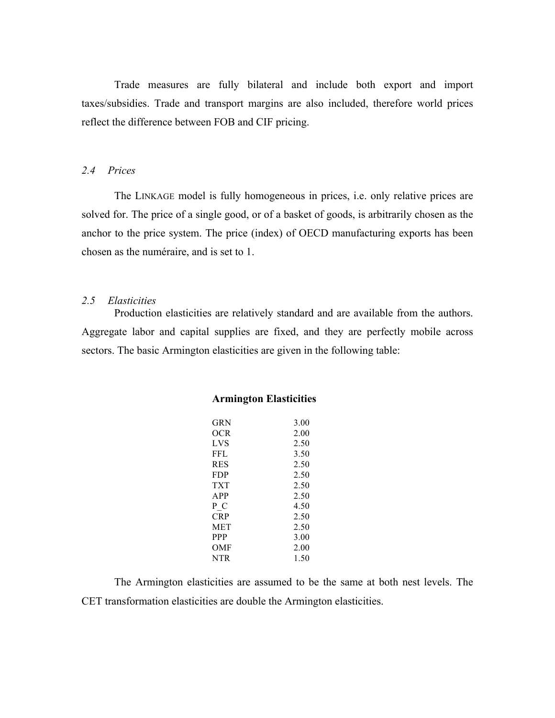Trade measures are fully bilateral and include both export and import taxes/subsidies. Trade and transport margins are also included, therefore world prices reflect the difference between FOB and CIF pricing.

## *2.4 Prices*

The LINKAGE model is fully homogeneous in prices, i.e. only relative prices are solved for. The price of a single good, or of a basket of goods, is arbitrarily chosen as the anchor to the price system. The price (index) of OECD manufacturing exports has been chosen as the numéraire, and is set to 1.

## *2.5 Elasticities*

Production elasticities are relatively standard and are available from the authors. Aggregate labor and capital supplies are fixed, and they are perfectly mobile across sectors. The basic Armington elasticities are given in the following table:

| GR N       | 3.00 |
|------------|------|
| OCR        | 2.00 |
| LVS        | 2.50 |
| FFL        | 3.50 |
| <b>RES</b> | 2.50 |
| <b>FDP</b> | 2.50 |
| TXT        | 2.50 |
| APP        | 2.50 |
| P C        | 4.50 |
| CRP        | 2.50 |
| <b>MET</b> | 2.50 |
| <b>PPP</b> | 3.00 |
| OMF        | 2.00 |
| <b>NTR</b> | 1.50 |

## **Armington Elasticities**

The Armington elasticities are assumed to be the same at both nest levels. The CET transformation elasticities are double the Armington elasticities.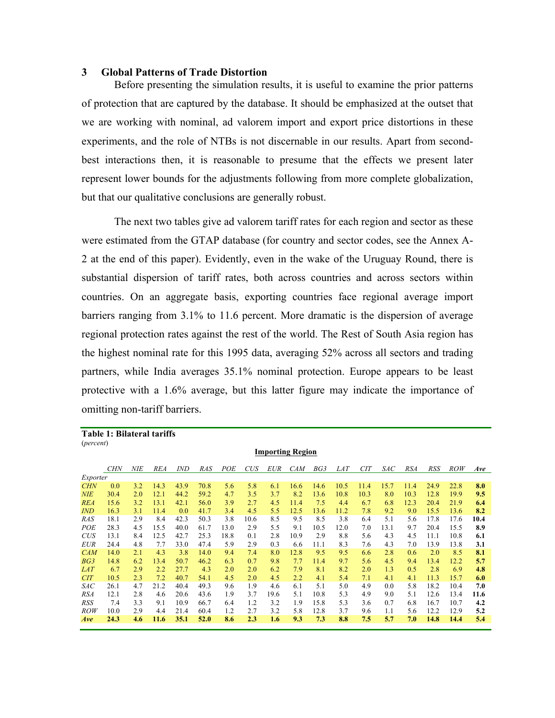#### **3 Global Patterns of Trade Distortion**

Before presenting the simulation results, it is useful to examine the prior patterns of protection that are captured by the database. It should be emphasized at the outset that we are working with nominal, ad valorem import and export price distortions in these experiments, and the role of NTBs is not discernable in our results. Apart from secondbest interactions then, it is reasonable to presume that the effects we present later represent lower bounds for the adjustments following from more complete globalization, but that our qualitative conclusions are generally robust.

The next two tables give ad valorem tariff rates for each region and sector as these were estimated from the GTAP database (for country and sector codes, see the Annex A-2 at the end of this paper). Evidently, even in the wake of the Uruguay Round, there is substantial dispersion of tariff rates, both across countries and across sectors within countries. On an aggregate basis, exporting countries face regional average import barriers ranging from 3.1% to 11.6 percent. More dramatic is the dispersion of average regional protection rates against the rest of the world. The Rest of South Asia region has the highest nominal rate for this 1995 data, averaging 52% across all sectors and trading partners, while India averages 35.1% nominal protection. Europe appears to be least protective with a 1.6% average, but this latter figure may indicate the importance of omitting non-tariff barriers.

|                    | Table 1: Bilateral tariffs |            |            |            |      |      |      |            |                         |      |            |            |      |            |            |            |      |
|--------------------|----------------------------|------------|------------|------------|------|------|------|------------|-------------------------|------|------------|------------|------|------------|------------|------------|------|
| ( <i>percent</i> ) |                            |            |            |            |      |      |      |            |                         |      |            |            |      |            |            |            |      |
|                    |                            |            |            |            |      |      |      |            | <b>Importing Region</b> |      |            |            |      |            |            |            |      |
|                    |                            |            |            |            |      |      |      |            |                         |      |            |            |      |            |            |            |      |
|                    | <b>CHN</b>                 | <b>NIE</b> | <b>REA</b> | <i>IND</i> | RAS  | POE  | CUS  | <b>EUR</b> | <b>CAM</b>              | BG3  | <b>LAT</b> | <b>CIT</b> | SAC  | <b>RSA</b> | <b>RSS</b> | <b>ROW</b> | Ave  |
| Exporter           |                            |            |            |            |      |      |      |            |                         |      |            |            |      |            |            |            |      |
| <b>CHN</b>         | 0.0                        | 3.2        | 14.3       | 43.9       | 70.8 | 5.6  | 5.8  | 6.1        | 16.6                    | 14.6 | 10.5       | 11.4       | 15.7 | 11.4       | 24.9       | 22.8       | 8.0  |
| <b>NIE</b>         | 30.4                       | 2.0        | 12.1       | 44.2       | 59.2 | 4.7  | 3.5  | 3.7        | 8.2                     | 13.6 | 10.8       | 10.3       | 8.0  | 10.3       | 12.8       | 19.9       | 9.5  |
| <b>REA</b>         | 15.6                       | 3.2        | 13.1       | 42.1       | 56.0 | 3.9  | 2.7  | 4.5        | 11.4                    | 7.5  | 4.4        | 6.7        | 6.8  | 12.3       | 20.4       | 21.9       | 6.4  |
| <b>IND</b>         | 16.3                       | 3.1        | 11.4       | 0.0        | 41.7 | 3.4  | 4.5  | 5.5        | 12.5                    | 13.6 | 11.2       | 7.8        | 9.2  | 9.0        | 15.5       | 13.6       | 8.2  |
| RAS                | 18.1                       | 2.9        | 8.4        | 42.3       | 50.3 | 3.8  | 10.6 | 8.5        | 9.5                     | 8.5  | 3.8        | 6.4        | 5.1  | 5.6        | 17.8       | 17.6       | 10.4 |
| POE                | 28.3                       | 4.5        | 15.5       | 40.0       | 61.7 | 13.0 | 2.9  | 5.5        | 9.1                     | 10.5 | 12.0       | 7.0        | 13.1 | 9.7        | 20.4       | 15.5       | 8.9  |
| <b>CUS</b>         | 13.1                       | 8.4        | 12.5       | 42.7       | 25.3 | 18.8 | 0.1  | 2.8        | 10.9                    | 2.9  | 8.8        | 5.6        | 4.3  | 4.5        | 11.1       | 10.8       | 6.1  |
| <b>EUR</b>         | 24.4                       | 4.8        | 7.7        | 33.0       | 47.4 | 5.9  | 2.9  | 0.3        | 6.6                     | 11.1 | 8.3        | 7.6        | 4.3  | 7.0        | 13.9       | 13.8       | 3.1  |
| <b>CAM</b>         | 14.0                       | 2.1        | 4.3        | 3.8        | 14.0 | 9.4  | 7.4  | 8.0        | 12.8                    | 9.5  | 9.5        | 6.6        | 2.8  | 0.6        | 2.0        | 8.5        | 8.1  |
| BG3                | 14.8                       | 6.2        | 13.4       | 50.7       | 46.2 | 6.3  | 0.7  | 9.8        | 7.7                     | 11.4 | 9.7        | 5.6        | 4.5  | 9.4        | 13.4       | 12.2       | 5.7  |
| <b>LAT</b>         | 6.7                        | 2.9        | 2.2        | 27.7       | 4.3  | 2.0  | 2.0  | 6.2        | 7.9                     | 8.1  | 8.2        | 2.0        | 1.3  | 0.5        | 2.8        | 6.9        | 4.8  |
| CIT                | 10.5                       | 2.3        | 7.2        | 40.7       | 54.1 | 4.5  | 2.0  | 4.5        | 2.2                     | 4.1  | 5.4        | 7.1        | 4.1  | 4.1        | 11.3       | 15.7       | 6.0  |
| SAC                | 26.1                       | 4.7        | 21.2       | 40.4       | 49.3 | 9.6  | 1.9  | 4.6        | 6.1                     | 5.1  | 5.0        | 4.9        | 0.0  | 5.8        | 18.2       | 10.4       | 7.0  |
| RSA                | 12.1                       | 2.8        | 4.6        | 20.6       | 43.6 | 1.9  | 3.7  | 19.6       | 5.1                     | 10.8 | 5.3        | 4.9        | 9.0  | 5.1        | 12.6       | 13.4       | 11.6 |
| <b>RSS</b>         | 7.4                        | 3.3        | 9.1        | 10.9       | 66.7 | 6.4  | 1.2  | 3.2        | 1.9                     | 15.8 | 5.3        | 3.6        | 0.7  | 6.8        | 16.7       | 10.7       | 4.2  |
| <i>ROW</i>         | 10.0                       | 2.9        | 4.4        | 21.4       | 60.4 | 1.2  | 2.7  | 3.2        | 5.8                     | 12.8 | 3.7        | 9.6        | 1.1  | 5.6        | 12.2       | 12.9       | 5.2  |
| Ave                | 24.3                       | 4.6        | 11.6       | 35.1       | 52.0 | 8.6  | 2.3  | 1.6        | 9.3                     | 7.3  | 8.8        | 7.5        | 5.7  | 7.0        | 14.8       | 14.4       | 5.4  |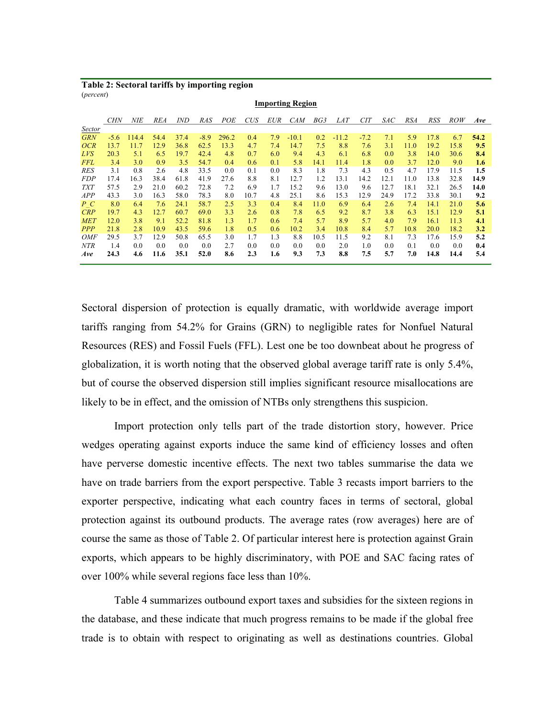**Table 2: Sectoral tariffs by importing region** (*percent*)

|            | <b>CHN</b> | <b>NIE</b> | <b>REA</b> | <i>IND</i> | <b>RAS</b> | POE   | <b>CUS</b> | <b>EUR</b> | <b>CAM</b> | BG3  | <i>LAT</i> | <b>CIT</b> | <i>SAC</i> | <b>RSA</b> | <b>RSS</b> | <b>ROW</b> | Ave  |
|------------|------------|------------|------------|------------|------------|-------|------------|------------|------------|------|------------|------------|------------|------------|------------|------------|------|
| Sector     |            |            |            |            |            |       |            |            |            |      |            |            |            |            |            |            |      |
| <b>GRN</b> | $-5.6$     | 114.4      | 54.4       | 37.4       | $-8.9$     | 296.2 | 0.4        | 7.9        | $-10.1$    | 0.2  | $-11.2$    | $-7.2$     | 7.1        | 5.9        | 17.8       | 6.7        | 54.2 |
| OCR        | 13.7       | 11.7       | 12.9       | 36.8       | 62.5       | 13.3  | 4.7        | 7.4        | 14.7       | 7.5  | 8.8        | 7.6        | 3.1        | 11.0       | 19.2       | 15.8       | 9.5  |
| LVS        | 20.3       | 5.1        | 6.5        | 19.7       | 42.4       | 4.8   | 0.7        | 6.0        | 9.4        | 4.3  | 6.1        | 6.8        | 0.0        | 3.8        | 14.0       | 30.6       | 8.4  |
| <b>FFL</b> | 3.4        | 3.0        | 0.9        | 3.5        | 54.7       | 0.4   | 0.6        | 0.1        | 5.8        | 14.1 | 11.4       | 1.8        | 0.0        | 3.7        | 12.0       | 9.0        | 1.6  |
| <b>RES</b> | 3.1        | 0.8        | 2.6        | 4.8        | 33.5       | 0.0   | 0.1        | 0.0        | 8.3        | 1.8  | 7.3        | 4.3        | 0.5        | 4.7        | 17.9       | 11.5       | 1.5  |
| <b>FDP</b> | 17.4       | 16.3       | 38.4       | 61.8       | 41.9       | 27.6  | 8.8        | 8.1        | 12.7       | 1.2  | 13.1       | 14.2       | 12.1       | 11.0       | 13.8       | 32.8       | 14.9 |
| <b>TXT</b> | 57.5       | 2.9        | 21.0       | 60.2       | 72.8       | 7.2   | 6.9        | 1.7        | 15.2       | 9.6  | 13.0       | 9.6        | 12.7       | 18.1       | 32.1       | 26.5       | 14.0 |
| <b>APP</b> | 43.3       | 3.0        | 16.3       | 58.0       | 78.3       | 8.0   | 10.7       | 4.8        | 25.1       | 8.6  | 15.3       | 12.9       | 24.9       | 17.2       | 33.8       | 30.1       | 9.2  |
| P C        | 8.0        | 6.4        | 7.6        | 24.1       | 58.7       | 2.5   | 3.3        | 0.4        | 8.4        | 11.0 | 6.9        | 6.4        | 2.6        | 7.4        | 14.1       | 21.0       | 5.6  |
| CRP        | 19.7       | 4.3        | 12.7       | 60.7       | 69.0       | 3.3   | 2.6        | 0.8        | 7.8        | 6.5  | 9.2        | 8.7        | 3.8        | 6.3        | 15.1       | 12.9       | 5.1  |
| <b>MET</b> | 12.0       | 3.8        | 9.1        | 52.2       | 81.8       | 1.3   | 1.7        | 0.6        | 7.4        | 5.7  | 8.9        | 5.7        | 4.0        | 7.9        | 16.1       | 11.3       | 4.1  |
| <b>PPP</b> | 21.8       | 2.8        | 10.9       | 43.5       | 59.6       | 1.8   | 0.5        | 0.6        | 10.2       | 3.4  | 10.8       | 8.4        | 5.7        | 10.8       | 20.0       | 18.2       | 3.2  |
| <i>OMF</i> | 29.5       | 3.7        | 12.9       | 50.8       | 65.5       | 3.0   | 1.7        | 1.3        | 8.8        | 10.5 | 11.5       | 9.2        | 8.1        | 7.3        | 17.6       | 15.9       | 5.2  |
| <b>NTR</b> | 1.4        | 0.0        | 0.0        | 0.0        | 0.0        | 2.7   | 0.0        | 0.0        | 0.0        | 0.0  | 2.0        | 1.0        | 0.0        | 0.1        | 0.0        | 0.0        | 0.4  |
| Ave        | 24.3       | 4.6        | 11.6       | 35.1       | 52.0       | 8.6   | 2.3        | 1.6        | 9.3        | 7.3  | 8.8        | 7.5        | 5.7        | 7.0        | 14.8       | 14.4       | 5.4  |
|            |            |            |            |            |            |       |            |            |            |      |            |            |            |            |            |            |      |

**Importing Region**

Sectoral dispersion of protection is equally dramatic, with worldwide average import tariffs ranging from 54.2% for Grains (GRN) to negligible rates for Nonfuel Natural Resources (RES) and Fossil Fuels (FFL). Lest one be too downbeat about he progress of globalization, it is worth noting that the observed global average tariff rate is only 5.4%, but of course the observed dispersion still implies significant resource misallocations are likely to be in effect, and the omission of NTBs only strengthens this suspicion.

Import protection only tells part of the trade distortion story, however. Price wedges operating against exports induce the same kind of efficiency losses and often have perverse domestic incentive effects. The next two tables summarise the data we have on trade barriers from the export perspective. Table 3 recasts import barriers to the exporter perspective, indicating what each country faces in terms of sectoral, global protection against its outbound products. The average rates (row averages) here are of course the same as those of Table 2. Of particular interest here is protection against Grain exports, which appears to be highly discriminatory, with POE and SAC facing rates of over 100% while several regions face less than 10%.

Table 4 summarizes outbound export taxes and subsidies for the sixteen regions in the database, and these indicate that much progress remains to be made if the global free trade is to obtain with respect to originating as well as destinations countries. Global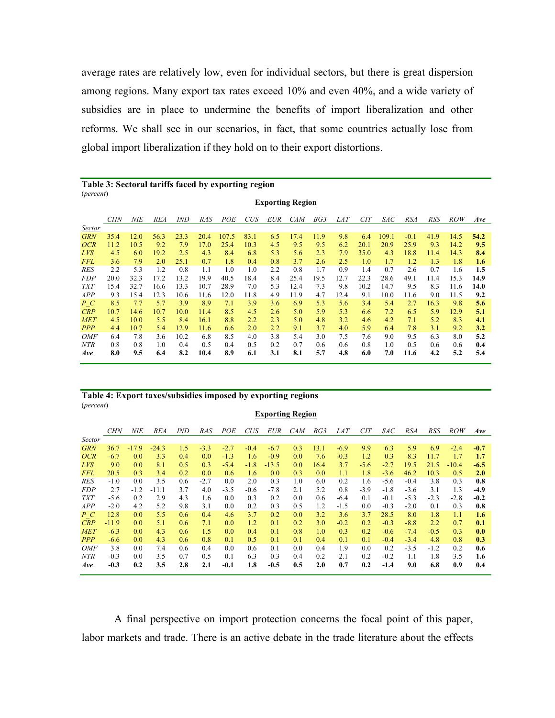average rates are relatively low, even for individual sectors, but there is great dispersion among regions. Many export tax rates exceed 10% and even 40%, and a wide variety of subsidies are in place to undermine the benefits of import liberalization and other reforms. We shall see in our scenarios, in fact, that some countries actually lose from global import liberalization if they hold on to their export distortions.

|            | Table 3: Sectoral tariffs faced by exporting region<br>( <i>percent</i> ) |      |            |            |      |       |            |            |                         |      |            |            |       |            |      |            |      |
|------------|---------------------------------------------------------------------------|------|------------|------------|------|-------|------------|------------|-------------------------|------|------------|------------|-------|------------|------|------------|------|
|            |                                                                           |      |            |            |      |       |            |            | <b>Exporting Region</b> |      |            |            |       |            |      |            |      |
|            | <b>CHN</b>                                                                | NIE  | <b>REA</b> | <i>IND</i> | RAS  | POE   | <b>CUS</b> | <b>EUR</b> | <b>CAM</b>              | BG3  | <b>LAT</b> | <b>CIT</b> | SAC   | <b>RSA</b> | RSS  | <b>ROW</b> | Ave  |
| Sector     |                                                                           |      |            |            |      |       |            |            |                         |      |            |            |       |            |      |            |      |
| <b>GRN</b> | 35.4                                                                      | 12.0 | 56.3       | 23.3       | 20.4 | 107.5 | 83.1       | 6.5        | 17.4                    | 11.9 | 9.8        | 6.4        | 109.1 | $-0.1$     | 41.9 | 14.5       | 54.2 |
| OCR        | 11.2                                                                      | 10.5 | 9.2        | 7.9        | 17.0 | 25.4  | 10.3       | 4.5        | 9.5                     | 9.5  | 6.2        | 20.1       | 20.9  | 25.9       | 9.3  | 14.2       | 9.5  |
| LVS        | 4.5                                                                       | 6.0  | 19.2       | 2.5        | 4.3  | 8.4   | 6.8        | 5.3        | 5.6                     | 2.3  | 7.9        | 35.0       | 4.3   | 18.8       | 11.4 | 14.3       | 8.4  |
| <b>FFL</b> | 3.6                                                                       | 7.9  | 2.0        | 25.1       | 0.7  | 1.8   | 0.4        | 0.8        | 3.7                     | 2.6  | 2.5        | 1.0        | 1.7   | 1.2        | 1.3  | 1.8        | 1.6  |
| RES        | 2.2                                                                       | 5.3  | 1.2        | 0.8        | 1.1  | 1.0   | 1.0        | $2.2\,$    | 0.8                     | 1.7  | 0.9        | 1.4        | 0.7   | 2.6        | 0.7  | 1.6        | 1.5  |
| <i>FDP</i> | 20.0                                                                      | 32.3 | 17.2       | 13.2       | 19.9 | 40.5  | 18.4       | 8.4        | 25.4                    | 19.5 | 12.7       | 22.3       | 28.6  | 49.1       | 11.4 | 15.3       | 14.9 |
| <b>TXT</b> | 15.4                                                                      | 32.7 | 16.6       | 13.3       | 10.7 | 28.9  | 7.0        | 5.3        | 12.4                    | 7.3  | 9.8        | 10.2       | 14.7  | 9.5        | 8.3  | 11.6       | 14.0 |
| APP        | 9.3                                                                       | 15.4 | 12.3       | 10.6       | 11.6 | 12.0  | 11.8       | 4.9        | 11.9                    | 4.7  | 12.4       | 9.1        | 10.0  | 11.6       | 9.0  | 11.5       | 9.2  |
| P C        | 8.5                                                                       | 7.7  | 5.7        | 3.9        | 8.9  | 7.1   | 3.9        | 3.6        | 6.9                     | 5.3  | 5.6        | 3.4        | 5.4   | 2.7        | 16.3 | 9.8        | 5.6  |
| CRP        | 10.7                                                                      | 14.6 | 10.7       | 10.0       | 11.4 | 8.5   | 4.5        | 2.6        | 5.0                     | 5.9  | 5.3        | 6.6        | 7.2   | 6.5        | 5.9  | 12.9       | 5.1  |
| <b>MET</b> | 4.5                                                                       | 10.0 | 5.5        | 8.4        | 16.1 | 8.8   | 2.2        | 2.3        | 5.0                     | 4.8  | 3.2        | 4.6        | 4.2   | 7.1        | 5.2  | 8.3        | 4.1  |
| <b>PPP</b> | 4.4                                                                       | 10.7 | 5.4        | 12.9       | 11.6 | 6.6   | 2.0        | 2.2        | 9.1                     | 3.7  | 4.0        | 5.9        | 6.4   | 7.8        | 3.1  | 9.2        | 3.2  |
| <b>OMF</b> | 6.4                                                                       | 7.8  | 3.6        | 10.2       | 6.8  | 8.5   | 4.0        | 3.8        | 5.4                     | 3.0  | 7.5        | 7.6        | 9.0   | 9.5        | 6.3  | 8.0        | 5.2  |
| NTR        | 0.8                                                                       | 0.8  | 1.0        | 0.4        | 0.5  | 0.4   | 0.5        | 0.2        | 0.7                     | 0.6  | 0.6        | 0.8        | 1.0   | 0.5        | 0.6  | 0.6        | 0.4  |
| Ave        | 8.0                                                                       | 9.5  | 6.4        | 8.2        | 10.4 | 8.9   | 6.1        | 3.1        | 8.1                     | 5.7  | 4.8        | 6.0        | 7.0   | 11.6       | 4.2  | 5.2        | 5.4  |

## **Table 3: Sectoral tariffs faced by exporting region**

#### **Table 4: Export taxes/subsidies imposed by exporting regions** (*percent*) **Exporting Region**

|               |            |         |            |            |            |        |            |            | r - - - - - - - - - - - - |      |            |            |            |            |        |            |        |
|---------------|------------|---------|------------|------------|------------|--------|------------|------------|---------------------------|------|------------|------------|------------|------------|--------|------------|--------|
|               | <b>CHN</b> | NIE     | <b>REA</b> | <i>IND</i> | <b>RAS</b> | POE    | <b>CUS</b> | <b>EUR</b> | <b>CAM</b>                | BG3  | <i>LAT</i> | <b>CIT</b> | <i>SAC</i> | <i>RSA</i> | RSS    | <b>ROW</b> | Ave    |
| <i>Sector</i> |            |         |            |            |            |        |            |            |                           |      |            |            |            |            |        |            |        |
| <b>GRN</b>    | 36.7       | $-17.9$ | $-24.3$    | 1.5        | $-3.3$     | $-2.7$ | $-0.4$     | $-6.7$     | 0.3                       | 13.1 | $-6.9$     | 9.9        | 6.3        | 5.9        | 6.9    | $-2.4$     | $-0.7$ |
| OCR           | $-6.7$     | 0.0     | 3.3        | 0.4        | 0.0        | $-1.3$ | 1.6        | $-0.9$     | 0.0                       | 7.6  | $-0.3$     | 1.2        | 0.3        | 8.3        | 11.7   | 1.7        | 1.7    |
| LVS           | 9.0        | 0.0     | 8.1        | 0.5        | 0.3        | $-5.4$ | $-1.8$     | $-13.5$    | 0.0                       | 16.4 | 3.7        | $-5.6$     | $-2.7$     | 19.5       | 21.5   | $-10.4$    | $-6.5$ |
| <b>FFL</b>    | 20.5       | 0.3     | 3.4        | 0.2        | 0.0        | 0.6    | 1.6        | 0.0        | 0.3                       | 0.0  | 1.1        | 1.8        | $-3.6$     | 46.2       | 10.3   | 0.5        | 2.0    |
| <b>RES</b>    | $-1.0$     | 0.0     | 3.5        | 0.6        | $-2.7$     | 0.0    | 2.0        | 0.3        | 1.0                       | 6.0  | 0.2        | 1.6        | $-5.6$     | $-0.4$     | 3.8    | 0.3        | 0.8    |
| <b>FDP</b>    | 2.7        | $-1.2$  | $-11.1$    | 3.7        | 4.0        | $-3.5$ | $-0.6$     | $-7.8$     | 2.1                       | 5.2  | 0.8        | $-3.9$     | $-1.8$     | $-3.6$     | 3.1    | 1.3        | $-4.9$ |
| <b>TXT</b>    | $-5.6$     | 0.2     | 2.9        | 4.3        | 1.6        | 0.0    | 0.3        | 0.2        | 0.0                       | 0.6  | $-6.4$     | 0.1        | $-0.1$     | $-5.3$     | $-2.3$ | $-2.8$     | $-0.2$ |
| APP           | $-2.0$     | 4.2     | 5.2        | 9.8        | 3.1        | 0.0    | 0.2        | 0.3        | 0.5                       | 1.2  | $-1.5$     | 0.0        | $-0.3$     | $-2.0$     | 0.1    | 0.3        | 0.8    |
| P C           | 12.8       | 0.0     | 5.5        | 0.6        | 0.4        | 4.6    | 3.7        | 0.2        | 0.0                       | 3.2  | 3.6        | 3.7        | 28.5       | 8.0        | 1.8    | 1.1        | 1.6    |
| CRP           | $-11.9$    | 0.0     | 5.1        | 0.6        | 7.1        | 0.0    | 1.2        | 0.1        | 0.2                       | 3.0  | $-0.2$     | 0.2        | $-0.3$     | $-8.8$     | 2.2    | 0.7        | 0.1    |
| <b>MET</b>    | $-6.3$     | 0.0     | 4.3        | 0.6        | 1.5        | 0.0    | 0.4        | 0.1        | 0.8                       | 1.0  | 0.3        | 0.2        | $-0.6$     | $-7.4$     | $-0.5$ | 0.3        | 0.0    |
| <b>PPP</b>    | $-6.6$     | 0.0     | 4.3        | 0.6        | 0.8        | 0.1    | 0.5        | 0.1        | 0.1                       | 0.4  | 0.1        | 0.1        | $-0.4$     | $-3.4$     | 4.8    | 0.8        | 0.3    |
| <b>OMF</b>    | 3.8        | 0.0     | 7.4        | 0.6        | 0.4        | 0.0    | 0.6        | 0.1        | 0.0                       | 0.4  | 1.9        | 0.0        | 0.2        | $-3.5$     | $-1.2$ | 0.2        | 0.6    |
| <b>NTR</b>    | $-0.3$     | 0.0     | 3.5        | 0.7        | 0.5        | 0.1    | 6.3        | 0.3        | 0.4                       | 0.2  | 2.1        | 0.2        | $-0.2$     | 1.1        | 1.8    | 3.5        | 1.6    |
| Ave           | $-0.3$     | 0.2     | 3.5        | 2.8        | 2.1        | $-0.1$ | 1.8        | $-0.5$     | 0.5                       | 2.0  | 0.7        | 0.2        | $-1.4$     | 9.0        | 6.8    | 0.9        | 0.4    |

A final perspective on import protection concerns the focal point of this paper, labor markets and trade. There is an active debate in the trade literature about the effects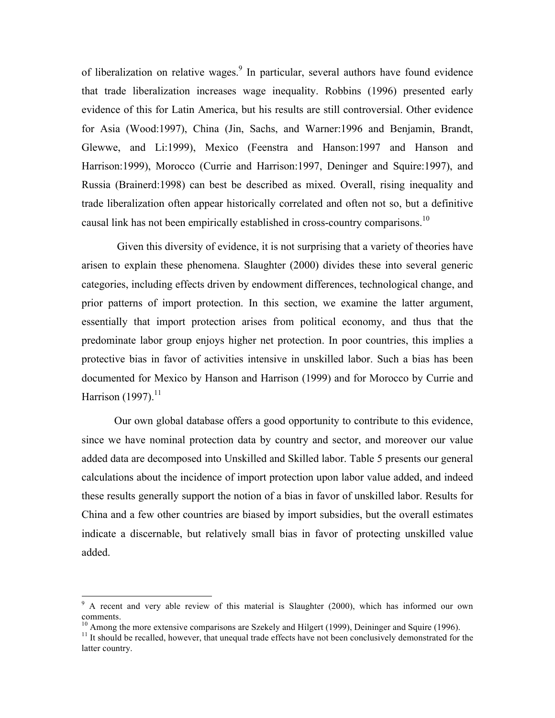of liberalization on relative wages.<sup>9</sup> In particular, several authors have found evidence that trade liberalization increases wage inequality. Robbins (1996) presented early evidence of this for Latin America, but his results are still controversial. Other evidence for Asia (Wood:1997), China (Jin, Sachs, and Warner:1996 and Benjamin, Brandt, Glewwe, and Li:1999), Mexico (Feenstra and Hanson:1997 and Hanson and Harrison:1999), Morocco (Currie and Harrison:1997, Deninger and Squire:1997), and Russia (Brainerd:1998) can best be described as mixed. Overall, rising inequality and trade liberalization often appear historically correlated and often not so, but a definitive causal link has not been empirically established in cross-country comparisons.<sup>10</sup>

Given this diversity of evidence, it is not surprising that a variety of theories have arisen to explain these phenomena. Slaughter (2000) divides these into several generic categories, including effects driven by endowment differences, technological change, and prior patterns of import protection. In this section, we examine the latter argument, essentially that import protection arises from political economy, and thus that the predominate labor group enjoys higher net protection. In poor countries, this implies a protective bias in favor of activities intensive in unskilled labor. Such a bias has been documented for Mexico by Hanson and Harrison (1999) and for Morocco by Currie and Harrison (1997).<sup>11</sup>

Our own global database offers a good opportunity to contribute to this evidence, since we have nominal protection data by country and sector, and moreover our value added data are decomposed into Unskilled and Skilled labor. Table 5 presents our general calculations about the incidence of import protection upon labor value added, and indeed these results generally support the notion of a bias in favor of unskilled labor. Results for China and a few other countries are biased by import subsidies, but the overall estimates indicate a discernable, but relatively small bias in favor of protecting unskilled value added.

 $9<sup>9</sup>$  A recent and very able review of this material is Slaughter (2000), which has informed our own comments.

<sup>&</sup>lt;sup>10</sup> Among the more extensive comparisons are Szekely and Hilgert (1999), Deininger and Squire (1996).<br><sup>11</sup> It should be recalled, however, that unequal trade effects have not been conclusively demonstrated for the

latter country.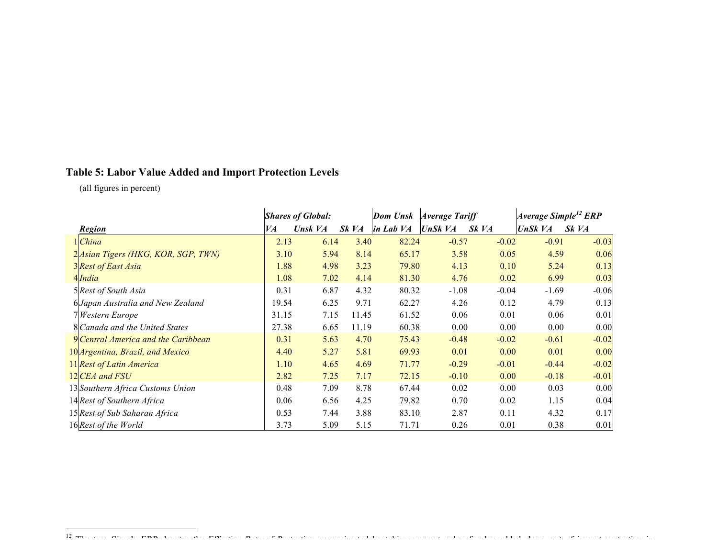## **Table 5: Labor Value Added and Import Protection Levels**

(all figures in percent)

|                                     |       | <b>Shares of Global:</b> |       | Dom Unsk  | <b>Average Tariff</b> |         | Average Simple <sup>12</sup> ERP |         |
|-------------------------------------|-------|--------------------------|-------|-----------|-----------------------|---------|----------------------------------|---------|
| <b>Region</b>                       | VA    | Unsk VA                  | Sk VA | in Lab VA | UnSk $VA$             | Sk VA   | UnSk VA                          | Sk VA   |
| 1 China                             | 2.13  | 6.14                     | 3.40  | 82.24     | $-0.57$               | $-0.02$ | $-0.91$                          | $-0.03$ |
| 2 Asian Tigers (HKG, KOR, SGP, TWN) | 3.10  | 5.94                     | 8.14  | 65.17     | 3.58                  | 0.05    | 4.59                             | 0.06    |
| 3 Rest of East Asia                 | 1.88  | 4.98                     | 3.23  | 79.80     | 4.13                  | 0.10    | 5.24                             | 0.13    |
| 4 India                             | 1.08  | 7.02                     | 4.14  | 81.30     | 4.76                  | 0.02    | 6.99                             | 0.03    |
| 5 Rest of South Asia                | 0.31  | 6.87                     | 4.32  | 80.32     | $-1.08$               | $-0.04$ | $-1.69$                          | $-0.06$ |
| 6 Japan Australia and New Zealand   | 19.54 | 6.25                     | 9.71  | 62.27     | 4.26                  | 0.12    | 4.79                             | 0.13    |
| 7 Western Europe                    | 31.15 | 7.15                     | 11.45 | 61.52     | 0.06                  | 0.01    | 0.06                             | 0.01    |
| 8 Canada and the United States      | 27.38 | 6.65                     | 11.19 | 60.38     | 0.00                  | 0.00    | 0.00                             | 0.00    |
| 9 Central America and the Caribbean | 0.31  | 5.63                     | 4.70  | 75.43     | $-0.48$               | $-0.02$ | $-0.61$                          | $-0.02$ |
| 10 Argentina, Brazil, and Mexico    | 4.40  | 5.27                     | 5.81  | 69.93     | 0.01                  | 0.00    | 0.01                             | 0.00    |
| 11 Rest of Latin America            | 1.10  | 4.65                     | 4.69  | 71.77     | $-0.29$               | $-0.01$ | $-0.44$                          | $-0.02$ |
| 12 CEA and FSU                      | 2.82  | 7.25                     | 7.17  | 72.15     | $-0.10$               | 0.00    | $-0.18$                          | $-0.01$ |
| 13 Southern Africa Customs Union    | 0.48  | 7.09                     | 8.78  | 67.44     | 0.02                  | 0.00    | 0.03                             | 0.00    |
| 14 Rest of Southern Africa          | 0.06  | 6.56                     | 4.25  | 79.82     | 0.70                  | 0.02    | 1.15                             | 0.04    |
| 15 Rest of Sub Saharan Africa       | 0.53  | 7.44                     | 3.88  | 83.10     | 2.87                  | 0.11    | 4.32                             | 0.17    |
| 16 Rest of the World                | 3.73  | 5.09                     | 5.15  | 71.71     | 0.26                  | 0.01    | 0.38                             | 0.01    |

<sup>12</sup> The term Simple ERR denotes the Effective Rate of Rate of Sandard by taking and share, not of industry account protection in the Protection in protection in protection in the protection in interestion in the Protection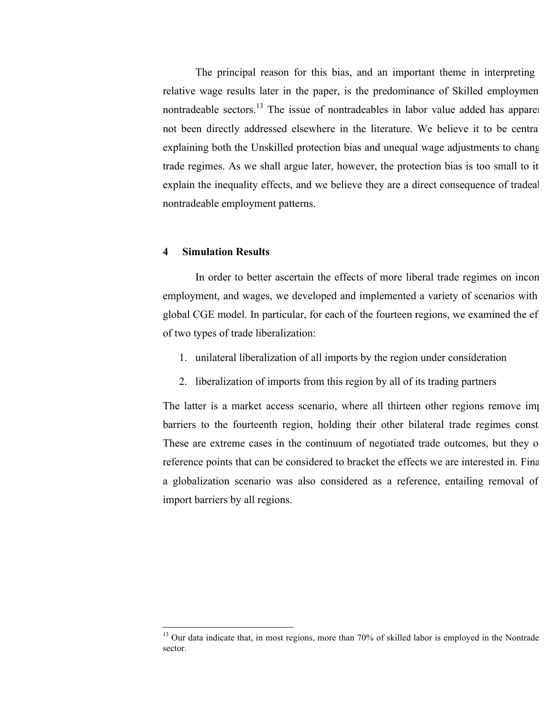The principal reason for this bias, and an important theme in interpreting relative wage results later in the paper, is the predominance of Skilled employmen nontradeable sectors.<sup>13</sup> The issue of nontradeables in labor value added has apparently not been directly addressed elsewhere in the literature. We believe it to be central explaining both the Unskilled protection bias and unequal wage adjustments to change trade regimes. As we shall argue later, however, the protection bias is too small to it explain the inequality effects, and we believe they are a direct consequence of tradeal nontradeable employment patterns.

## **4 Simulation Results**

In order to better ascertain the effects of more liberal trade regimes on income employment, and wages, we developed and implemented a variety of scenarios with global CGE model. In particular, for each of the fourteen regions, we examined the efof two types of trade liberalization:

- 1. unilateral liberalization of all imports by the region under consideration
- 2. liberalization of imports from this region by all of its trading partners

The latter is a market access scenario, where all thirteen other regions remove import barriers to the fourteenth region, holding their other bilateral trade regimes constant. These are extreme cases in the continuum of negotiated trade outcomes, but they of reference points that can be considered to bracket the effects we are interested in. Finally a globalization scenario was also considered as a reference, entailing removal of import barriers by all regions.

<sup>&</sup>lt;sup>13</sup> Our data indicate that, in most regions, more than 70% of skilled labor is employed in the Nontrade sector.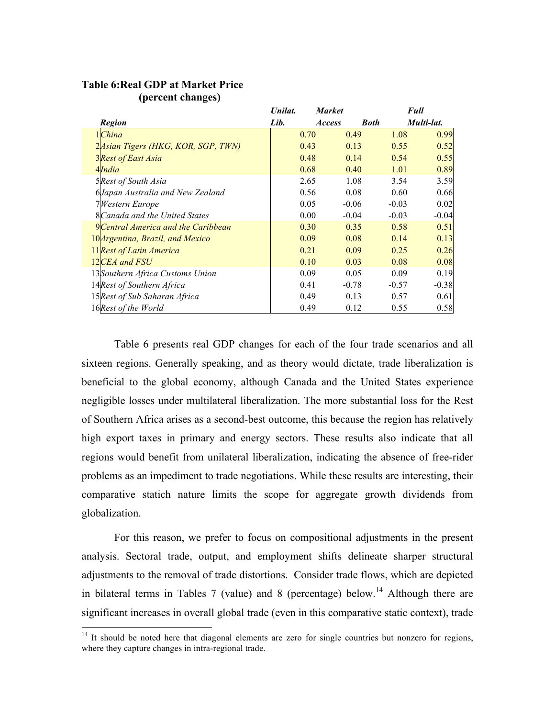|                                         | Unilat. | <b>Market</b> |             | Full    |            |
|-----------------------------------------|---------|---------------|-------------|---------|------------|
| <b>Region</b>                           | Lib.    | <b>Access</b> | <b>Both</b> |         | Multi-lat. |
| $1$ China                               |         | 0.70          | 0.49        | 1.08    | 0.99       |
| 2 Asian Tigers (HKG, KOR, SGP, TWN)     |         | 0.43          | 0.13        | 0.55    | 0.52       |
| <b>3</b> Rest of East Asia              |         | 0.48          | 0.14        | 0.54    | 0.55       |
| 4India                                  |         | 0.68          | 0.40        | 1.01    | 0.89       |
| 5Rest of South Asia                     |         | 2.65          | 1.08        | 3.54    | 3.59       |
| 6Japan Australia and New Zealand        |         | 0.56          | 0.08        | 0.60    | 0.66       |
| 7Western Europe                         |         | 0.05          | $-0.06$     | $-0.03$ | 0.02       |
| 8 Canada and the United States          |         | 0.00          | $-0.04$     | $-0.03$ | $-0.04$    |
| 9 Central America and the Caribbean     |         | 0.30          | 0.35        | 0.58    | 0.51       |
| 10 <i>Argentina, Brazil, and Mexico</i> |         | 0.09          | 0.08        | 0.14    | 0.13       |
| 11 Rest of Latin America                |         | 0.21          | 0.09        | 0.25    | 0.26       |
| 12CEA and FSU                           |         | 0.10          | 0.03        | 0.08    | 0.08       |
| 13 Southern Africa Customs Union        |         | 0.09          | 0.05        | 0.09    | 0.19       |
| 14 Rest of Southern Africa              |         | 0.41          | $-0.78$     | $-0.57$ | $-0.38$    |
| 15 Rest of Sub Saharan Africa           |         | 0.49          | 0.13        | 0.57    | 0.61       |
| 16Rest of the World                     |         | 0.49          | 0.12        | 0.55    | 0.58       |

## **Table 6:Real GDP at Market Price (percent changes)**

Table 6 presents real GDP changes for each of the four trade scenarios and all sixteen regions. Generally speaking, and as theory would dictate, trade liberalization is beneficial to the global economy, although Canada and the United States experience negligible losses under multilateral liberalization. The more substantial loss for the Rest of Southern Africa arises as a second-best outcome, this because the region has relatively high export taxes in primary and energy sectors. These results also indicate that all regions would benefit from unilateral liberalization, indicating the absence of free-rider problems as an impediment to trade negotiations. While these results are interesting, their comparative statich nature limits the scope for aggregate growth dividends from globalization.

For this reason, we prefer to focus on compositional adjustments in the present analysis. Sectoral trade, output, and employment shifts delineate sharper structural adjustments to the removal of trade distortions. Consider trade flows, which are depicted in bilateral terms in Tables 7 (value) and 8 (percentage) below.<sup>14</sup> Although there are significant increases in overall global trade (even in this comparative static context), trade

<sup>&</sup>lt;sup>14</sup> It should be noted here that diagonal elements are zero for single countries but nonzero for regions, where they capture changes in intra-regional trade.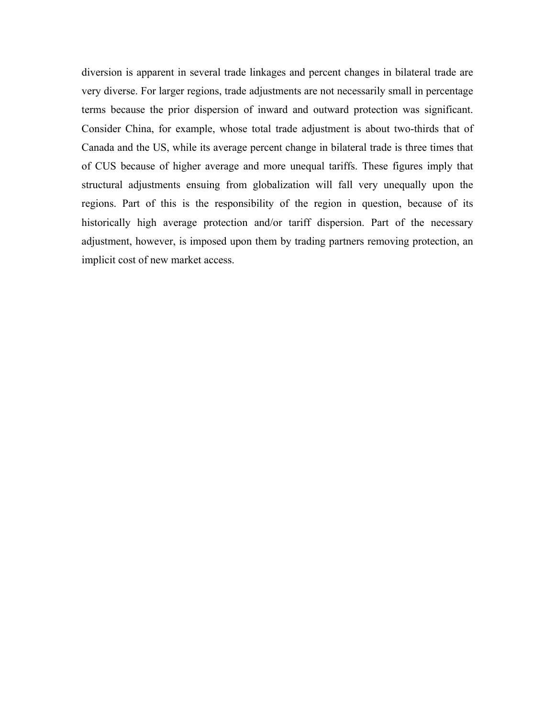diversion is apparent in several trade linkages and percent changes in bilateral trade are very diverse. For larger regions, trade adjustments are not necessarily small in percentage terms because the prior dispersion of inward and outward protection was significant. Consider China, for example, whose total trade adjustment is about two-thirds that of Canada and the US, while its average percent change in bilateral trade is three times that of CUS because of higher average and more unequal tariffs. These figures imply that structural adjustments ensuing from globalization will fall very unequally upon the regions. Part of this is the responsibility of the region in question, because of its historically high average protection and/or tariff dispersion. Part of the necessary adjustment, however, is imposed upon them by trading partners removing protection, an implicit cost of new market access.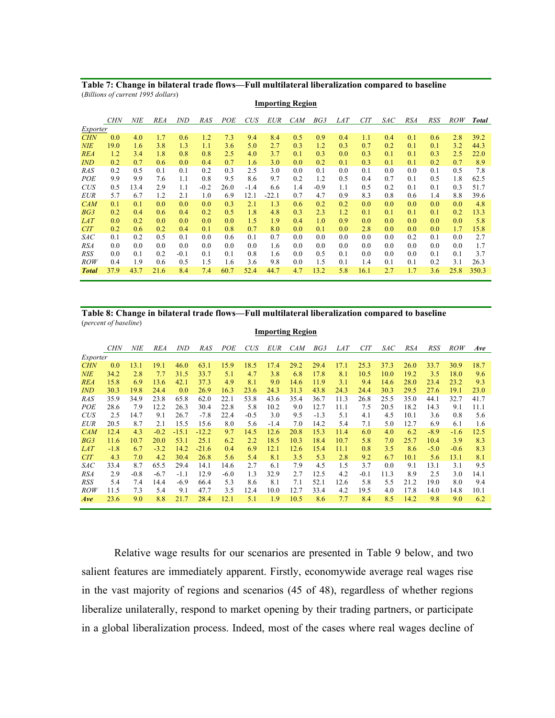**Table 7: Change in bilateral trade flows—Full multilateral liberalization compared to baseline** (*Billions of current 1995 dollars*)

|              | <b>CHN</b> | NIE  | <b>REA</b> | <i>IND</i> | <b>RAS</b> | POE  | CUS    | <i>EUR</i> | <b>CAM</b> | BG3    | <i>LAT</i> | <b>CIT</b> | SAC | <b>RSA</b> | <b>RSS</b> | <b>ROW</b> | <b>Total</b> |
|--------------|------------|------|------------|------------|------------|------|--------|------------|------------|--------|------------|------------|-----|------------|------------|------------|--------------|
| Exporter     |            |      |            |            |            |      |        |            |            |        |            |            |     |            |            |            |              |
| <b>CHN</b>   | 0.0        | 4.0  | 1.7        | 0.6        | 1.2        | 7.3  | 9.4    | 8.4        | 0.5        | 0.9    | 0.4        | 1.1        | 0.4 | 0.1        | 0.6        | 2.8        | 39.2         |
| <b>NIE</b>   | 19.0       | 1.6  | 3.8        | 1.3        | 1.1        | 3.6  | 5.0    | 2.7        | 0.3        | 1.2    | 0.3        | 0.7        | 0.2 | 0.1        | 0.1        | 3.2        | 44.3         |
| <b>REA</b>   | 1.2        | 3.4  | 1.8        | 0.8        | 0.8        | 2.5  | 4.0    | 3.7        | 0.1        | 0.3    | 0.0        | 0.3        | 0.1 | 0.1        | 0.3        | 2.5        | 22.0         |
| <b>IND</b>   | 0.2        | 0.7  | 0.6        | 0.0        | 0.4        | 0.7  | 1.6    | 3.0        | 0.0        | 0.2    | 0.1        | 0.3        | 0.1 | 0.1        | 0.2        | 0.7        | 8.9          |
| <b>RAS</b>   | 0.2        | 0.5  | 0.1        | 0.1        | 0.2        | 0.3  | 2.5    | 3.0        | 0.0        | 0.1    | 0.0        | 0.1        | 0.0 | 0.0        | 0.1        | 0.5        | 7.8          |
| POE          | 9.9        | 9.9  | 7.6        | 1.1        | 0.8        | 9.5  | 8.6    | 9.7        | 0.2        | 1.2    | 0.5        | 0.4        | 0.7 | 0.1        | 0.5        | 1.8        | 62.5         |
| <b>CUS</b>   | 0.5        | 13.4 | 2.9        | 1.1        | $-0.2$     | 26.0 | $-1.4$ | 6.6        | 1.4        | $-0.9$ | 1.1        | 0.5        | 0.2 | 0.1        | 0.1        | 0.3        | 51.7         |
| <b>EUR</b>   | 5.7        | 6.7  | 1.2        | 2.1        | 1.0        | 6.9  | 12.1   | $-22.1$    | 0.7        | 4.7    | 0.9        | 8.3        | 0.8 | 0.6        | 1.4        | 8.8        | 39.6         |
| CAM          | 0.1        | 0.1  | 0.0        | 0.0        | 0.0        | 0.3  | 2.1    | 1.3        | 0.6        | 0.2    | 0.2        | 0.0        | 0.0 | 0.0        | 0.0        | 0.0        | 4.8          |
| BG3          | 0.2        | 0.4  | 0.6        | 0.4        | 0.2        | 0.5  | 1.8    | 4.8        | 0.3        | 2.3    | 1.2        | 0.1        | 0.1 | 0.1        | 0.1        | 0.2        | 13.3         |
| <i>LAT</i>   | 0.0        | 0.2  | 0.0        | 0.0        | 0.0        | 0.0  | 1.5    | 1.9        | 0.4        | 1.0    | 0.9        | 0.0        | 0.0 | 0.0        | 0.0        | 0.0        | 5.8          |
| <b>CIT</b>   | 0.2        | 0.6  | 0.2        | 0.4        | 0.1        | 0.8  | 0.7    | 8.0        | 0.0        | 0.1    | 0.0        | 2.8        | 0.0 | 0.0        | 0.0        | 1.7        | 15.8         |
| SAC          | 0.1        | 0.2  | 0.5        | 0.1        | 0.0        | 0.6  | 0.1    | 0.7        | 0.0        | 0.0    | 0.0        | 0.0        | 0.0 | 0.2        | 0.1        | 0.0        | 2.7          |
| <b>RSA</b>   | 0.0        | 0.0  | 0.0        | 0.0        | 0.0        | 0.0  | 0.0    | 1.6        | 0.0        | 0.0    | 0.0        | 0.0        | 0.0 | 0.0        | 0.0        | 0.0        | 1.7          |
| RSS          | 0.0        | 0.1  | 0.2        | $-0.1$     | 0.1        | 0.1  | 0.8    | 1.6        | 0.0        | 0.5    | 0.1        | 0.0        | 0.0 | 0.0        | 0.1        | 0.1        | 3.7          |
| ROW          | 0.4        | 1.9  | 0.6        | 0.5        | 1.5        | 1.6  | 3.6    | 9.8        | 0.0        | 1.5    | 0.1        | 1.4        | 0.1 | 0.1        | 0.2        | 3.1        | 26.3         |
| <b>Total</b> | 37.9       | 43.7 | 21.6       | 8.4        | 7.4        | 60.7 | 52.4   | 44.7       | 4.7        | 13.2   | 5.8        | 16.1       | 2.7 | 1.7        | 3.6        | 25.8       | 350.3        |

#### **Table 8: Change in bilateral trade flows—Full multilateral liberalization compared to baseline** (*percent of baseline*)

|            |            |        |            |         |         |        |            |            | <b>Importing Region</b> |        |            |            |      |            |        |            |      |
|------------|------------|--------|------------|---------|---------|--------|------------|------------|-------------------------|--------|------------|------------|------|------------|--------|------------|------|
|            | <b>CHN</b> | NIE    | <b>REA</b> | IND     | RAS     | POE    | <b>CUS</b> | <b>EUR</b> | <b>CAM</b>              | BG3    | <i>LAT</i> | <b>CIT</b> | SAC  | <b>RSA</b> | RSS    | <b>ROW</b> | Ave  |
| Exporter   |            |        |            |         |         |        |            |            |                         |        |            |            |      |            |        |            |      |
| <b>CHN</b> | 0.0        | 13.1   | 19.1       | 46.0    | 63.1    | 15.9   | 18.5       | 17.4       | 29.2                    | 29.4   | 17.1       | 25.3       | 37.3 | 26.0       | 33.7   | 30.9       | 18.7 |
| <b>NIE</b> | 34.2       | 2.8    | 7.7        | 31.5    | 33.7    | 5.1    | 4.7        | 3.8        | 6.8                     | 17.8   | 8.1        | 10.5       | 10.0 | 19.2       | 3.5    | 18.0       | 9.6  |
| <b>REA</b> | 15.8       | 6.9    | 13.6       | 42.1    | 37.3    | 4.9    | 8.1        | 9.0        | 14.6                    | 11.9   | 3.1        | 9.4        | 14.6 | 28.0       | 23.4   | 23.2       | 9.3  |
| <b>IND</b> | 30.3       | 19.8   | 24.4       | 0.0     | 26.9    | 16.3   | 23.6       | 24.3       | 31.3                    | 43.8   | 24.3       | 24.4       | 30.3 | 29.5       | 27.6   | 19.1       | 23.0 |
| <b>RAS</b> | 35.9       | 34.9   | 23.8       | 65.8    | 62.0    | 22.1   | 53.8       | 43.6       | 35.4                    | 36.7   | 11.3       | 26.8       | 25.5 | 35.0       | 44.1   | 32.7       | 41.7 |
| POE        | 28.6       | 7.9    | 12.2       | 26.3    | 30.4    | 22.8   | 5.8        | 10.2       | 9.0                     | 12.7   | 11.1       | 7.5        | 20.5 | 18.2       | 14.3   | 9.1        | 11.1 |
| <b>CUS</b> | 2.5        | 14.7   | 9.1        | 26.7    | $-7.8$  | 22.4   | $-0.5$     | 3.0        | 9.5                     | $-1.3$ | 5.1        | 4.1        | 4.5  | 10.1       | 3.6    | 0.8        | 5.6  |
| <b>EUR</b> | 20.5       | 8.7    | 2.1        | 15.5    | 15.6    | 8.0    | 5.6        | $-1.4$     | 7.0                     | 14.2   | 5.4        | 7.1        | 5.0  | 12.7       | 6.9    | 6.1        | 1.6  |
| <b>CAM</b> | 12.4       | 4.3    | $-0.2$     | $-15.1$ | $-12.2$ | 9.7    | 14.5       | 12.6       | 20.8                    | 15.3   | 11.4       | 6.0        | 4.0  | 6.2        | $-8.9$ | $-1.6$     | 12.5 |
| BG3        | 11.6       | 10.7   | 20.0       | 53.1    | 25.1    | 6.2    | 2.2        | 18.5       | 10.3                    | 18.4   | 10.7       | 5.8        | 7.0  | 25.7       | 10.4   | 3.9        | 8.3  |
| <i>LAT</i> | $-1.8$     | 6.7    | $-3.2$     | 14.2    | $-21.6$ | 0.4    | 6.9        | 12.1       | 12.6                    | 15.4   | 11.1       | 0.8        | 3.5  | 8.6        | $-5.0$ | $-0.6$     | 8.3  |
| <b>CIT</b> | 4.3        | 7.0    | 4.2        | 30.4    | 26.8    | 5.6    | 5.4        | 8.1        | 3.5                     | 5.3    | 2.8        | 9.2        | 6.7  | 10.1       | 5.6    | 13.1       | 8.1  |
| SAC        | 33.4       | 8.7    | 65.5       | 29.4    | 14.1    | 14.6   | 2.7        | 6.1        | 7.9                     | 4.5    | 1.5        | 3.7        | 0.0  | 9.1        | 13.1   | 3.1        | 9.5  |
| <b>RSA</b> | 2.9        | $-0.8$ | $-6.7$     | $-1.1$  | 12.9    | $-6.0$ | 1.3        | 32.9       | 2.7                     | 12.5   | 4.2        | $-0.1$     | 11.3 | 8.9        | 2.5    | 3.0        | 14.1 |
| RSS        | 5.4        | 7.4    | 14.4       | $-6.9$  | 66.4    | 5.3    | 8.6        | 8.1        | 7.1                     | 52.1   | 12.6       | 5.8        | 5.5  | 21.2       | 19.0   | 8.0        | 9.4  |
| <i>ROW</i> | 11.5       | 7.3    | 5.4        | 9.1     | 47.7    | 3.5    | 12.4       | 10.0       | 12.7                    | 33.4   | 4.2        | 19.5       | 4.0  | 17.8       | 14.0   | 14.8       | 10.1 |
| Ave        | 23.6       | 9.0    | 8.8        | 21.7    | 28.4    | 12.1   | 5.1        | 1.9        | 10.5                    | 8.6    | 7.7        | 8.4        | 8.5  | 14.2       | 9.8    | 9.0        | 6.2  |

Relative wage results for our scenarios are presented in Table 9 below, and two salient features are immediately apparent. Firstly, economywide average real wages rise in the vast majority of regions and scenarios (45 of 48), regardless of whether regions liberalize unilaterally, respond to market opening by their trading partners, or participate in a global liberalization process. Indeed, most of the cases where real wages decline of

#### **Importing Region**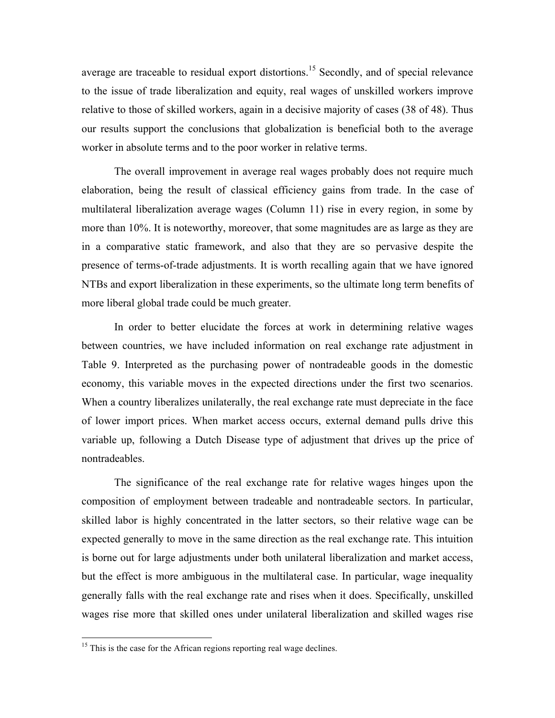average are traceable to residual export distortions.<sup>15</sup> Secondly, and of special relevance to the issue of trade liberalization and equity, real wages of unskilled workers improve relative to those of skilled workers, again in a decisive majority of cases (38 of 48). Thus our results support the conclusions that globalization is beneficial both to the average worker in absolute terms and to the poor worker in relative terms.

The overall improvement in average real wages probably does not require much elaboration, being the result of classical efficiency gains from trade. In the case of multilateral liberalization average wages (Column 11) rise in every region, in some by more than 10%. It is noteworthy, moreover, that some magnitudes are as large as they are in a comparative static framework, and also that they are so pervasive despite the presence of terms-of-trade adjustments. It is worth recalling again that we have ignored NTBs and export liberalization in these experiments, so the ultimate long term benefits of more liberal global trade could be much greater.

In order to better elucidate the forces at work in determining relative wages between countries, we have included information on real exchange rate adjustment in Table 9. Interpreted as the purchasing power of nontradeable goods in the domestic economy, this variable moves in the expected directions under the first two scenarios. When a country liberalizes unilaterally, the real exchange rate must depreciate in the face of lower import prices. When market access occurs, external demand pulls drive this variable up, following a Dutch Disease type of adjustment that drives up the price of nontradeables.

The significance of the real exchange rate for relative wages hinges upon the composition of employment between tradeable and nontradeable sectors. In particular, skilled labor is highly concentrated in the latter sectors, so their relative wage can be expected generally to move in the same direction as the real exchange rate. This intuition is borne out for large adjustments under both unilateral liberalization and market access, but the effect is more ambiguous in the multilateral case. In particular, wage inequality generally falls with the real exchange rate and rises when it does. Specifically, unskilled wages rise more that skilled ones under unilateral liberalization and skilled wages rise

<sup>&</sup>lt;sup>15</sup> This is the case for the African regions reporting real wage declines.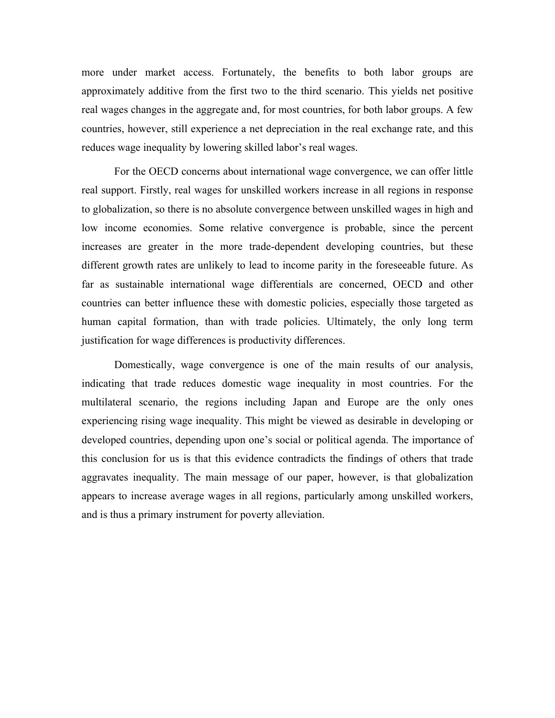more under market access. Fortunately, the benefits to both labor groups are approximately additive from the first two to the third scenario. This yields net positive real wages changes in the aggregate and, for most countries, for both labor groups. A few countries, however, still experience a net depreciation in the real exchange rate, and this reduces wage inequality by lowering skilled labor's real wages.

For the OECD concerns about international wage convergence, we can offer little real support. Firstly, real wages for unskilled workers increase in all regions in response to globalization, so there is no absolute convergence between unskilled wages in high and low income economies. Some relative convergence is probable, since the percent increases are greater in the more trade-dependent developing countries, but these different growth rates are unlikely to lead to income parity in the foreseeable future. As far as sustainable international wage differentials are concerned, OECD and other countries can better influence these with domestic policies, especially those targeted as human capital formation, than with trade policies. Ultimately, the only long term justification for wage differences is productivity differences.

Domestically, wage convergence is one of the main results of our analysis, indicating that trade reduces domestic wage inequality in most countries. For the multilateral scenario, the regions including Japan and Europe are the only ones experiencing rising wage inequality. This might be viewed as desirable in developing or developed countries, depending upon one's social or political agenda. The importance of this conclusion for us is that this evidence contradicts the findings of others that trade aggravates inequality. The main message of our paper, however, is that globalization appears to increase average wages in all regions, particularly among unskilled workers, and is thus a primary instrument for poverty alleviation.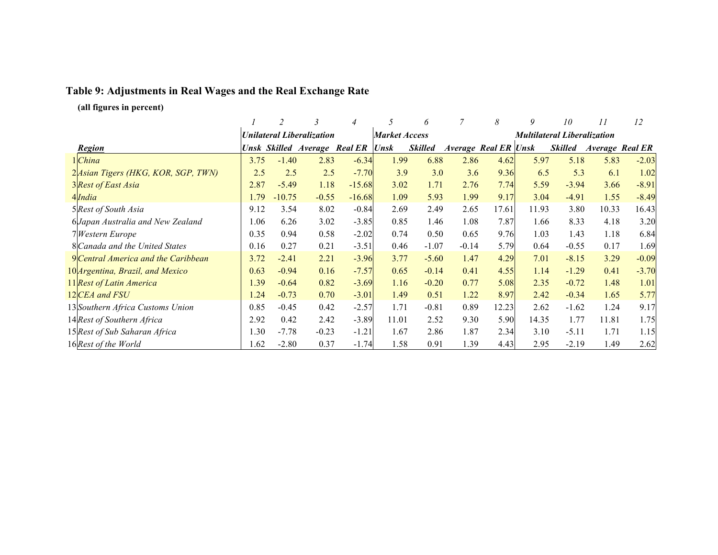# **Table 9: Adjustments in Real Wages and the Real Exchange Rate**

**(all figures in percent)**

|                                     |      |          | 3                                |                                   |                      | 6              |         | 8                           | 9     | 10                                 | 11    | 12                     |
|-------------------------------------|------|----------|----------------------------------|-----------------------------------|----------------------|----------------|---------|-----------------------------|-------|------------------------------------|-------|------------------------|
|                                     |      |          | <b>Unilateral Liberalization</b> |                                   | <b>Market Access</b> |                |         |                             |       | <b>Multilateral Liberalization</b> |       |                        |
| <b>Region</b>                       |      |          |                                  | Unsk Skilled Average Real ER Unsk |                      | <b>Skilled</b> |         | <b>Average Real ER Unsk</b> |       | <b>Skilled</b>                     |       | <b>Average Real ER</b> |
| 1 China                             | 3.75 | $-1.40$  | 2.83                             | $-6.34$                           | 1.99                 | 6.88           | 2.86    | 4.62                        | 5.97  | 5.18                               | 5.83  | $-2.03$                |
| 2 Asian Tigers (HKG, KOR, SGP, TWN) | 2.5  | 2.5      | 2.5                              | $-7.70$                           | 3.9                  | 3.0            | 3.6     | 9.36                        | 6.5   | 5.3                                | 6.1   | 1.02                   |
| 3 Rest of East Asia                 | 2.87 | $-5.49$  | 1.18                             | $-15.68$                          | 3.02                 | 1.71           | 2.76    | 7.74                        | 5.59  | $-3.94$                            | 3.66  | $-8.91$                |
| 4 <i>India</i>                      | 1.79 | $-10.75$ | $-0.55$                          | $-16.68$                          | 1.09                 | 5.93           | 1.99    | 9.17                        | 3.04  | $-4.91$                            | 1.55  | $-8.49$                |
| 5 Rest of South Asia                | 9.12 | 3.54     | 8.02                             | $-0.84$                           | 2.69                 | 2.49           | 2.65    | 17.61                       | 11.93 | 3.80                               | 10.33 | 16.43                  |
| 6 Japan Australia and New Zealand   | 1.06 | 6.26     | 3.02                             | $-3.85$                           | 0.85                 | 1.46           | 1.08    | 7.87                        | 1.66  | 8.33                               | 4.18  | 3.20                   |
| 7 Western Europe                    | 0.35 | 0.94     | 0.58                             | $-2.02$                           | 0.74                 | 0.50           | 0.65    | 9.76                        | 1.03  | 1.43                               | 1.18  | 6.84                   |
| 8 Canada and the United States      | 0.16 | 0.27     | 0.21                             | $-3.51$                           | 0.46                 | $-1.07$        | $-0.14$ | 5.79                        | 0.64  | $-0.55$                            | 0.17  | 1.69                   |
| 9 Central America and the Caribbean | 3.72 | $-2.41$  | 2.21                             | $-3.96$                           | 3.77                 | $-5.60$        | 1.47    | 4.29                        | 7.01  | $-8.15$                            | 3.29  | $-0.09$                |
| 10 Argentina, Brazil, and Mexico    | 0.63 | $-0.94$  | 0.16                             | $-7.57$                           | 0.65                 | $-0.14$        | 0.41    | 4.55                        | 1.14  | $-1.29$                            | 0.41  | $-3.70$                |
| 11 Rest of Latin America            | 1.39 | $-0.64$  | 0.82                             | $-3.69$                           | 1.16                 | $-0.20$        | 0.77    | 5.08                        | 2.35  | $-0.72$                            | 1.48  | 1.01                   |
| 12 CEA and FSU                      | 1.24 | $-0.73$  | 0.70                             | $-3.01$                           | 1.49                 | 0.51           | 1.22    | 8.97                        | 2.42  | $-0.34$                            | 1.65  | 5.77                   |
| 13 Southern Africa Customs Union    | 0.85 | $-0.45$  | 0.42                             | $-2.57$                           | 1.71                 | $-0.81$        | 0.89    | 12.23                       | 2.62  | $-1.62$                            | 1.24  | 9.17                   |
| 14 Rest of Southern Africa          | 2.92 | 0.42     | 2.42                             | $-3.89$                           | 11.01                | 2.52           | 9.30    | 5.90                        | 14.35 | 1.77                               | 11.81 | 1.75                   |
| 15 Rest of Sub Saharan Africa       | 1.30 | $-7.78$  | $-0.23$                          | $-1.21$                           | 1.67                 | 2.86           | 1.87    | 2.34                        | 3.10  | $-5.11$                            | 1.71  | 1.15                   |
| 16 Rest of the World                | .62  | $-2.80$  | 0.37                             | $-1.74$                           | 1.58                 | 0.91           | 1.39    | 4.43                        | 2.95  | $-2.19$                            | 1.49  | 2.62                   |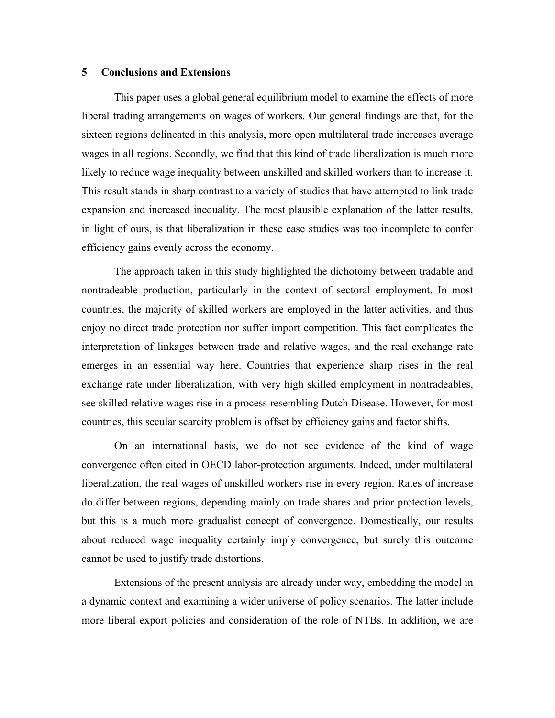## **5 Conclusions and Extensions**

This paper uses a global general equilibrium model to examine the effects of more liberal trading arrangements on wages of workers. Our general findings are that, for the sixteen regions delineated in this analysis, more open multilateral trade increases average wages in all regions. Secondly, we find that this kind of trade liberalization is much more likely to reduce wage inequality between unskilled and skilled workers than to increase it. This result stands in sharp contrast to a variety of studies that have attempted to link trade expansion and increased inequality. The most plausible explanation of the latter results, in light of ours, is that liberalization in these case studies was too incomplete to confer efficiency gains evenly across the economy.

The approach taken in this study highlighted the dichotomy between tradable and nontradeable production, particularly in the context of sectoral employment. In most countries, the majority of skilled workers are employed in the latter activities, and thus enjoy no direct trade protection nor suffer import competition. This fact complicates the interpretation of linkages between trade and relative wages, and the real exchange rate emerges in an essential way here. Countries that experience sharp rises in the real exchange rate under liberalization, with very high skilled employment in nontradeables, see skilled relative wages rise in a process resembling Dutch Disease. However, for most countries, this secular scarcity problem is offset by efficiency gains and factor shifts.

On an international basis, we do not see evidence of the kind of wage convergence often cited in OECD labor-protection arguments. Indeed, under multilateral liberalization, the real wages of unskilled workers rise in every region. Rates of increase do differ between regions, depending mainly on trade shares and prior protection levels, but this is a much more gradualist concept of convergence. Domestically, our results about reduced wage inequality certainly imply convergence, but surely this outcome cannot be used to justify trade distortions.

Extensions of the present analysis are already under way, embedding the model in a dynamic context and examining a wider universe of policy scenarios. The latter include more liberal export policies and consideration of the role of NTBs. In addition, we are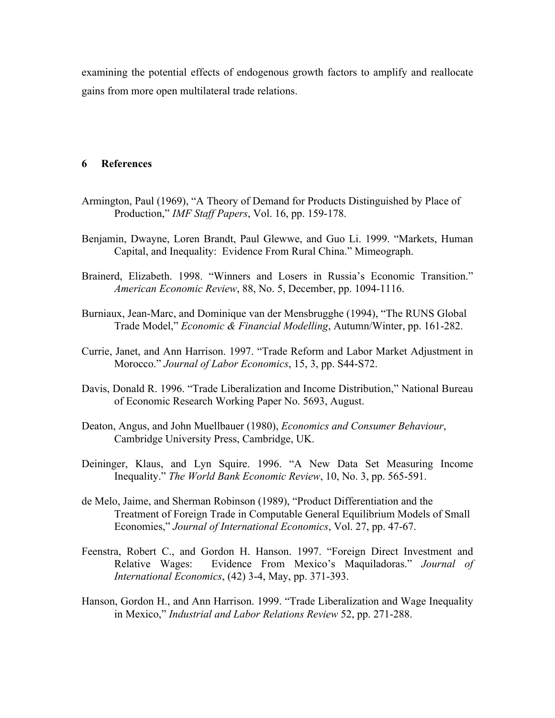examining the potential effects of endogenous growth factors to amplify and reallocate gains from more open multilateral trade relations.

## **6 References**

- Armington, Paul (1969), "A Theory of Demand for Products Distinguished by Place of Production," *IMF Staff Papers*, Vol. 16, pp. 159-178.
- Benjamin, Dwayne, Loren Brandt, Paul Glewwe, and Guo Li. 1999. "Markets, Human Capital, and Inequality: Evidence From Rural China." Mimeograph.
- Brainerd, Elizabeth. 1998. "Winners and Losers in Russia's Economic Transition." *American Economic Review*, 88, No. 5, December, pp. 1094-1116.
- Burniaux, Jean-Marc, and Dominique van der Mensbrugghe (1994), "The RUNS Global Trade Model," *Economic & Financial Modelling*, Autumn/Winter, pp. 161-282.
- Currie, Janet, and Ann Harrison. 1997. "Trade Reform and Labor Market Adjustment in Morocco." *Journal of Labor Economics*, 15, 3, pp. S44-S72.
- Davis, Donald R. 1996. "Trade Liberalization and Income Distribution," National Bureau of Economic Research Working Paper No. 5693, August.
- Deaton, Angus, and John Muellbauer (1980), *Economics and Consumer Behaviour*, Cambridge University Press, Cambridge, UK.
- Deininger, Klaus, and Lyn Squire. 1996. "A New Data Set Measuring Income Inequality." *The World Bank Economic Review*, 10, No. 3, pp. 565-591.
- de Melo, Jaime, and Sherman Robinson (1989), "Product Differentiation and the Treatment of Foreign Trade in Computable General Equilibrium Models of Small Economies," *Journal of International Economics*, Vol. 27, pp. 47-67.
- Feenstra, Robert C., and Gordon H. Hanson. 1997. "Foreign Direct Investment and Relative Wages: Evidence From Mexico's Maquiladoras." *Journal of International Economics*, (42) 3-4, May, pp. 371-393.
- Hanson, Gordon H., and Ann Harrison. 1999. "Trade Liberalization and Wage Inequality in Mexico," *Industrial and Labor Relations Review* 52, pp. 271-288.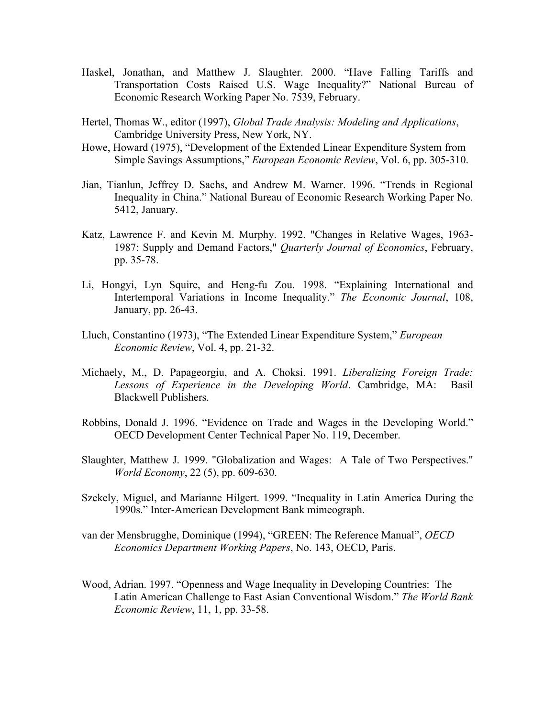- Haskel, Jonathan, and Matthew J. Slaughter. 2000. "Have Falling Tariffs and Transportation Costs Raised U.S. Wage Inequality?" National Bureau of Economic Research Working Paper No. 7539, February.
- Hertel, Thomas W., editor (1997), *Global Trade Analysis: Modeling and Applications*, Cambridge University Press, New York, NY.
- Howe, Howard (1975), "Development of the Extended Linear Expenditure System from Simple Savings Assumptions," *European Economic Review*, Vol. 6, pp. 305-310.
- Jian, Tianlun, Jeffrey D. Sachs, and Andrew M. Warner. 1996. "Trends in Regional Inequality in China." National Bureau of Economic Research Working Paper No. 5412, January.
- Katz, Lawrence F. and Kevin M. Murphy. 1992. "Changes in Relative Wages, 1963- 1987: Supply and Demand Factors," *Quarterly Journal of Economics*, February, pp. 35-78.
- Li, Hongyi, Lyn Squire, and Heng-fu Zou. 1998. "Explaining International and Intertemporal Variations in Income Inequality." *The Economic Journal*, 108, January, pp. 26-43.
- Lluch, Constantino (1973), "The Extended Linear Expenditure System," *European Economic Review*, Vol. 4, pp. 21-32.
- Michaely, M., D. Papageorgiu, and A. Choksi. 1991. *Liberalizing Foreign Trade: Lessons of Experience in the Developing World*. Cambridge, MA: Basil Blackwell Publishers.
- Robbins, Donald J. 1996. "Evidence on Trade and Wages in the Developing World." OECD Development Center Technical Paper No. 119, December.
- Slaughter, Matthew J. 1999. "Globalization and Wages: A Tale of Two Perspectives." *World Economy*, 22 (5), pp. 609-630.
- Szekely, Miguel, and Marianne Hilgert. 1999. "Inequality in Latin America During the 1990s." Inter-American Development Bank mimeograph.
- van der Mensbrugghe, Dominique (1994), "GREEN: The Reference Manual", *OECD Economics Department Working Papers*, No. 143, OECD, Paris.
- Wood, Adrian. 1997. "Openness and Wage Inequality in Developing Countries: The Latin American Challenge to East Asian Conventional Wisdom." *The World Bank Economic Review*, 11, 1, pp. 33-58.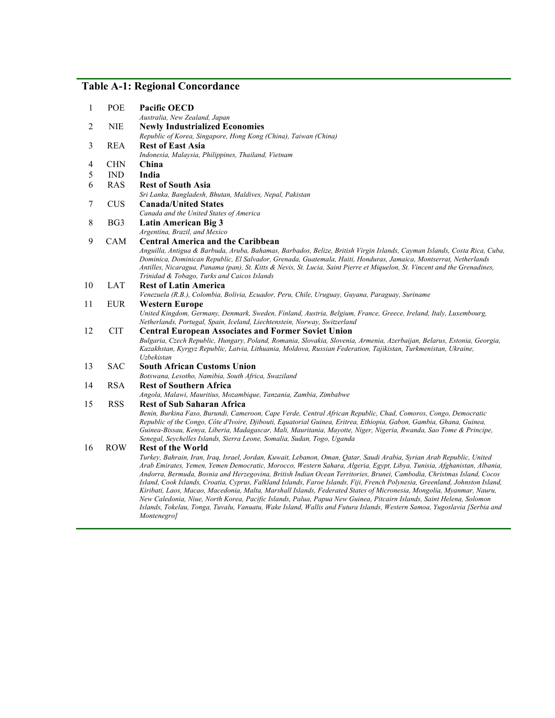# **Table A-1: Regional Concordance**

| 1                        | <b>POE</b>      | <b>Pacific OECD</b>                                                                                                                                                                                                                                                                                                                                                                                                       |
|--------------------------|-----------------|---------------------------------------------------------------------------------------------------------------------------------------------------------------------------------------------------------------------------------------------------------------------------------------------------------------------------------------------------------------------------------------------------------------------------|
| 2                        | <b>NIE</b>      | Australia, New Zealand, Japan<br><b>Newly Industrialized Economies</b>                                                                                                                                                                                                                                                                                                                                                    |
|                          |                 | Republic of Korea, Singapore, Hong Kong (China), Taiwan (China)                                                                                                                                                                                                                                                                                                                                                           |
| 3                        | <b>REA</b>      | <b>Rest of East Asia</b>                                                                                                                                                                                                                                                                                                                                                                                                  |
|                          |                 | Indonesia, Malaysia, Philippines, Thailand, Vietnam                                                                                                                                                                                                                                                                                                                                                                       |
| $\overline{\mathcal{A}}$ | <b>CHN</b>      | China                                                                                                                                                                                                                                                                                                                                                                                                                     |
| 5                        | <b>IND</b>      | India                                                                                                                                                                                                                                                                                                                                                                                                                     |
| 6                        | <b>RAS</b>      | <b>Rest of South Asia</b>                                                                                                                                                                                                                                                                                                                                                                                                 |
|                          |                 | Sri Lanka, Bangladesh, Bhutan, Maldives, Nepal, Pakistan                                                                                                                                                                                                                                                                                                                                                                  |
| 7                        | <b>CUS</b>      | <b>Canada/United States</b>                                                                                                                                                                                                                                                                                                                                                                                               |
|                          |                 | Canada and the United States of America                                                                                                                                                                                                                                                                                                                                                                                   |
| 8                        | BG <sub>3</sub> | <b>Latin American Big 3</b>                                                                                                                                                                                                                                                                                                                                                                                               |
|                          |                 | Argentina, Brazil, and Mexico                                                                                                                                                                                                                                                                                                                                                                                             |
| 9                        | CAM             | <b>Central America and the Caribbean</b>                                                                                                                                                                                                                                                                                                                                                                                  |
|                          |                 | Anguilla, Antigua & Barbuda, Aruba, Bahamas, Barbados, Belize, British Virgin Islands, Cayman Islands, Costa Rica, Cuba,<br>Dominica, Dominican Republic, El Salvador, Grenada, Guatemala, Haiti, Honduras, Jamaica, Montserrat, Netherlands<br>Antilles, Nicaragua, Panama (pan), St. Kitts & Nevis, St. Lucia, Saint Pierre et Miquelon, St. Vincent and the Grenadines,<br>Trinidad & Tobago, Turks and Caicos Islands |
| 10                       | LAT             | <b>Rest of Latin America</b>                                                                                                                                                                                                                                                                                                                                                                                              |
|                          |                 | Venezuela (R.B.), Colombia, Bolivia, Ecuador, Peru, Chile, Uruguay, Guyana, Paraguay, Suriname                                                                                                                                                                                                                                                                                                                            |
| 11                       | <b>EUR</b>      | <b>Western Europe</b>                                                                                                                                                                                                                                                                                                                                                                                                     |
|                          |                 | United Kingdom, Germany, Denmark, Sweden, Finland, Austria, Belgium, France, Greece, Ireland, Italy, Luxembourg,<br>Netherlands, Portugal, Spain, Iceland, Liechtenstein, Norway, Switzerland                                                                                                                                                                                                                             |
| 12                       | <b>CIT</b>      | <b>Central European Associates and Former Soviet Union</b>                                                                                                                                                                                                                                                                                                                                                                |
|                          |                 | Bulgaria, Czech Republic, Hungary, Poland, Romania, Slovakia, Slovenia, Armenia, Azerbaijan, Belarus, Estonia, Georgia,<br>Kazakhstan, Kyrgyz Republic, Latvia, Lithuania, Moldova, Russian Federation, Tajikistan, Turkmenistan, Ukraine,<br>Uzbekistan                                                                                                                                                                  |
| 13                       | <b>SAC</b>      | <b>South African Customs Union</b>                                                                                                                                                                                                                                                                                                                                                                                        |
|                          |                 | Botswana, Lesotho, Namibia, South Africa, Swaziland                                                                                                                                                                                                                                                                                                                                                                       |
| 14                       | <b>RSA</b>      | <b>Rest of Southern Africa</b>                                                                                                                                                                                                                                                                                                                                                                                            |
|                          |                 | Angola, Malawi, Mauritius, Mozambique, Tanzania, Zambia, Zimbabwe                                                                                                                                                                                                                                                                                                                                                         |
| 15                       | <b>RSS</b>      | <b>Rest of Sub Saharan Africa</b>                                                                                                                                                                                                                                                                                                                                                                                         |
|                          |                 | Benin, Burkina Faso, Burundi, Cameroon, Cape Verde, Central African Republic, Chad, Comoros, Congo, Democratic                                                                                                                                                                                                                                                                                                            |
|                          |                 | Republic of the Congo, Côte d'Ivoire, Djibouti, Equatorial Guinea, Eritrea, Ethiopia, Gabon, Gambia, Ghana, Guinea,<br>Guinea-Bissau, Kenya, Liberia, Madagascar, Mali, Mauritania, Mayotte, Niger, Nigeria, Rwanda, Sao Tome & Principe,                                                                                                                                                                                 |
|                          |                 | Senegal, Seychelles Islands, Sierra Leone, Somalia, Sudan, Togo, Uganda                                                                                                                                                                                                                                                                                                                                                   |
| 16                       | <b>ROW</b>      | <b>Rest of the World</b>                                                                                                                                                                                                                                                                                                                                                                                                  |
|                          |                 | Turkey, Bahrain, Iran, Iraq, Israel, Jordan, Kuwait, Lebanon, Oman, Qatar, Saudi Arabia, Syrian Arab Republic, United                                                                                                                                                                                                                                                                                                     |
|                          |                 | Arab Emirates, Yemen, Yemen Democratic, Morocco, Western Sahara, Algeria, Egypt, Libya, Tunisia, Afghanistan, Albania,                                                                                                                                                                                                                                                                                                    |
|                          |                 | Andorra, Bermuda, Bosnia and Herzegovina, British Indian Ocean Territories, Brunei, Cambodia, Christmas Island, Cocos                                                                                                                                                                                                                                                                                                     |
|                          |                 | Island, Cook Islands, Croatia, Cyprus, Falkland Islands, Faroe Islands, Fiji, French Polynesia, Greenland, Johnston Island,                                                                                                                                                                                                                                                                                               |
|                          |                 | Kiribati, Laos, Macao, Macedonia, Malta, Marshall Islands, Federated States of Micronesia, Mongolia, Myanmar, Nauru,<br>New Caledonia, Niue, North Korea, Pacific Islands, Palua, Papua New Guinea, Pitcairn Islands, Saint Helena, Solomon                                                                                                                                                                               |
|                          |                 | Islands, Tokelau, Tonga, Tuvalu, Vanuatu, Wake Island, Wallis and Futura Islands, Western Samoa, Yugoslavia [Serbia and<br>Montenegro]                                                                                                                                                                                                                                                                                    |